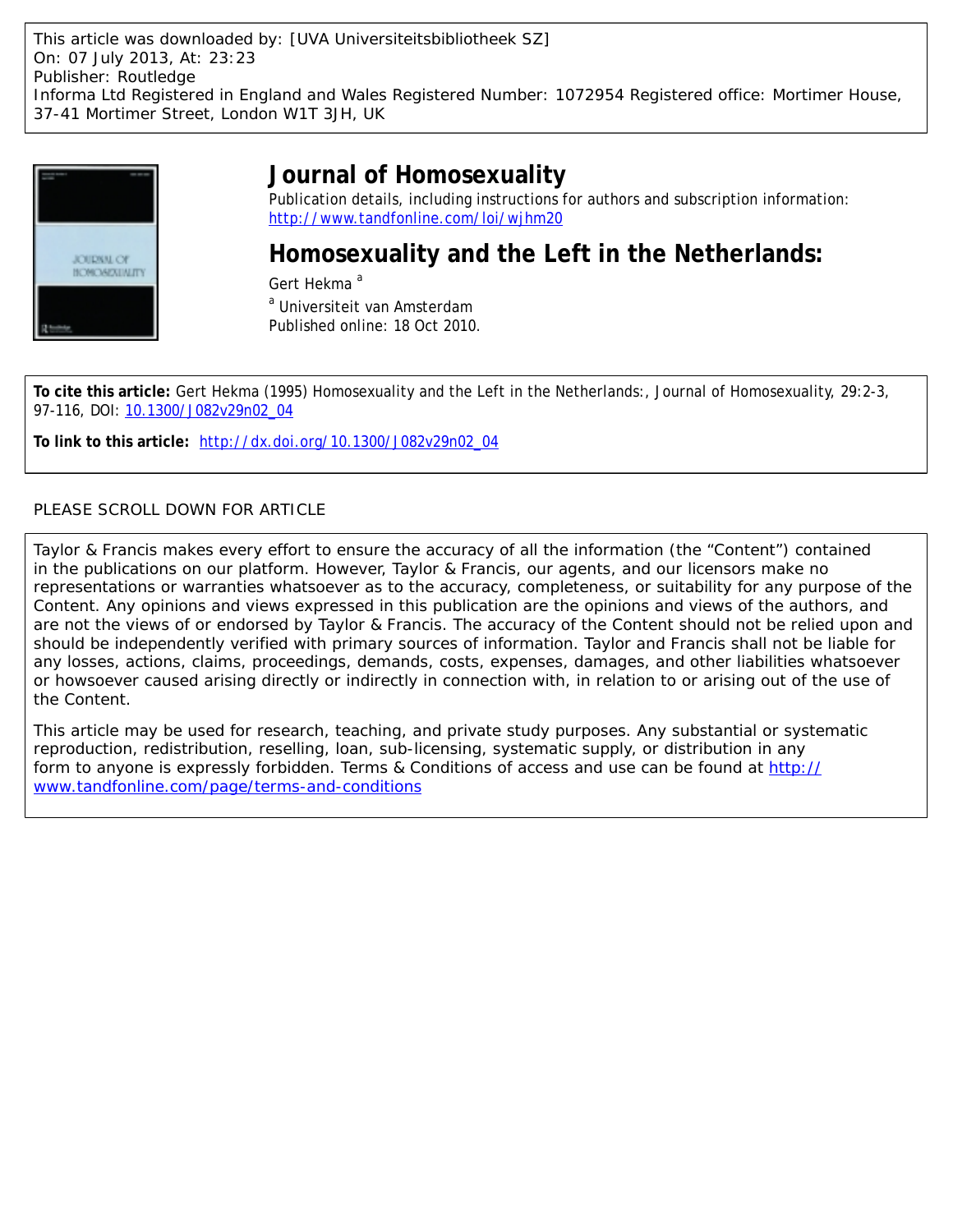This article was downloaded by: [UVA Universiteitsbibliotheek SZ] On: 07 July 2013, At: 23:23 Publisher: Routledge Informa Ltd Registered in England and Wales Registered Number: 1072954 Registered office: Mortimer House, 37-41 Mortimer Street, London W1T 3JH, UK



# **Journal of Homosexuality**

Publication details, including instructions for authors and subscription information: <http://www.tandfonline.com/loi/wjhm20>

**Homosexuality and the Left in the Netherlands:**

Gert Hekma<sup>a</sup> <sup>a</sup> Universiteit van Amsterdam Published online: 18 Oct 2010.

**To cite this article:** Gert Hekma (1995) Homosexuality and the Left in the Netherlands:, Journal of Homosexuality, 29:2-3, 97-116, DOI: [10.1300/J082v29n02\\_04](http://www.tandfonline.com/action/showCitFormats?doi=10.1300/J082v29n02_04)

**To link to this article:** [http://dx.doi.org/10.1300/J082v29n02\\_04](http://dx.doi.org/10.1300/J082v29n02_04)

## PLEASE SCROLL DOWN FOR ARTICLE

Taylor & Francis makes every effort to ensure the accuracy of all the information (the "Content") contained in the publications on our platform. However, Taylor & Francis, our agents, and our licensors make no representations or warranties whatsoever as to the accuracy, completeness, or suitability for any purpose of the Content. Any opinions and views expressed in this publication are the opinions and views of the authors, and are not the views of or endorsed by Taylor & Francis. The accuracy of the Content should not be relied upon and should be independently verified with primary sources of information. Taylor and Francis shall not be liable for any losses, actions, claims, proceedings, demands, costs, expenses, damages, and other liabilities whatsoever or howsoever caused arising directly or indirectly in connection with, in relation to or arising out of the use of the Content.

This article may be used for research, teaching, and private study purposes. Any substantial or systematic reproduction, redistribution, reselling, loan, sub-licensing, systematic supply, or distribution in any form to anyone is expressly forbidden. Terms & Conditions of access and use can be found at [http://](http://www.tandfonline.com/page/terms-and-conditions) [www.tandfonline.com/page/terms-and-conditions](http://www.tandfonline.com/page/terms-and-conditions)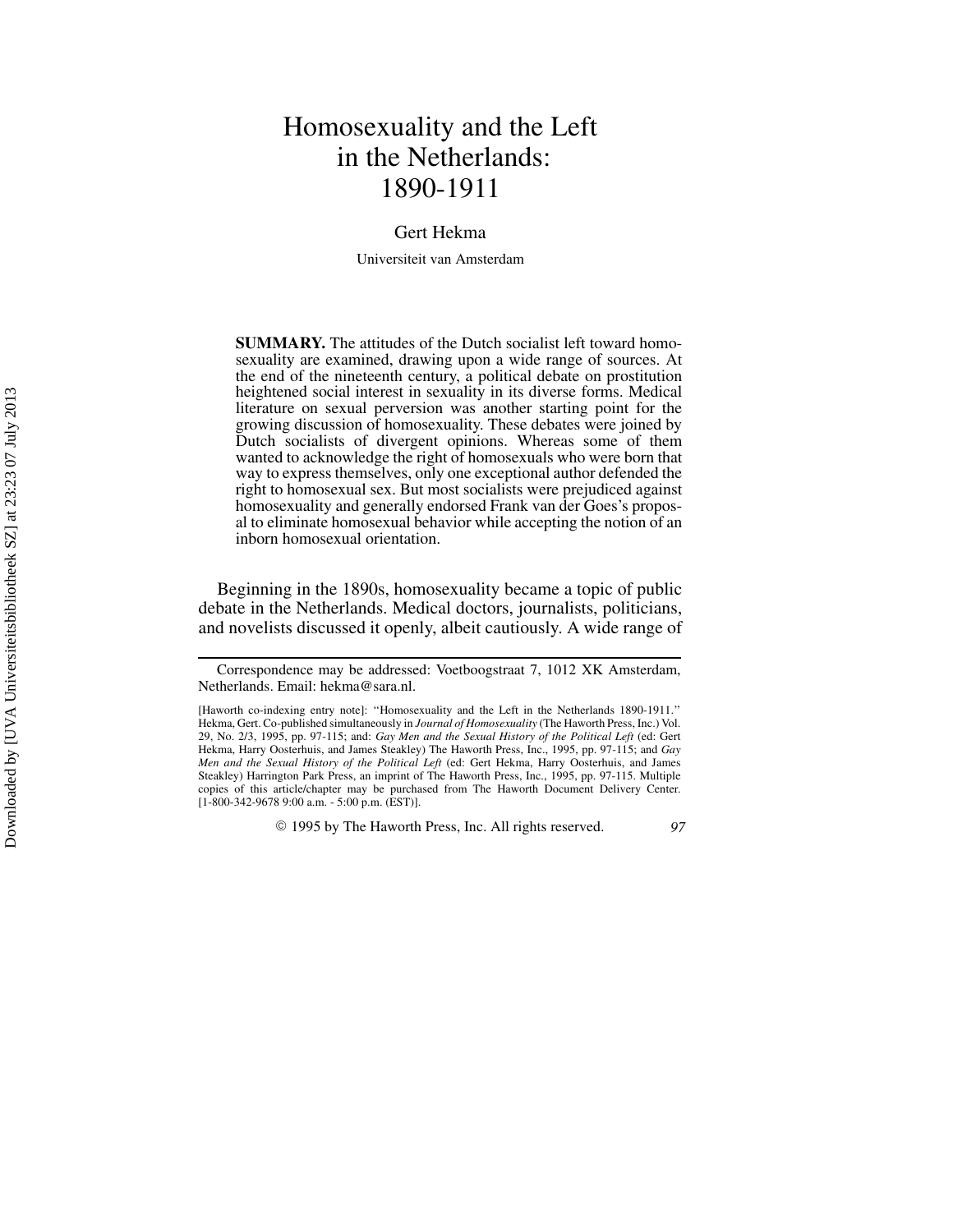## Homosexuality and the Left in the Netherlands: 1890-1911

Gert Hekma

Universiteit van Amsterdam

**SUMMARY.** The attitudes of the Dutch socialist left toward homosexuality are examined, drawing upon a wide range of sources. At the end of the nineteenth century, a political debate on prostitution heightened social interest in sexuality in its diverse forms. Medical literature on sexual perversion was another starting point for the growing discussion of homosexuality. These debates were joined by Dutch socialists of divergent opinions. Whereas some of them wanted to acknowledge the right of homosexuals who were born that way to express themselves, only one exceptional author defended the right to homosexual sex. But most socialists were prejudiced against homosexuality and generally endorsed Frank van der Goes's proposal to eliminate homosexual behavior while accepting the notion of an inborn homosexual orientation.

Beginning in the 1890s, homosexuality became a topic of public debate in the Netherlands. Medical doctors, journalists, politicians, and novelists discussed it openly, albeit cautiously. A wide range of

E 1995 by The Haworth Press, Inc. All rights reserved. *97*

Correspondence may be addressed: Voetboogstraat 7, 1012 XK Amsterdam, Netherlands. Email: hekma@sara.nl.

<sup>[</sup>Haworth co-indexing entry note]: ''Homosexuality and the Left in the Netherlands 1890-1911.'' Hekma, Gert. Co-published simultaneously in *Journal of Homosexuality* (The Haworth Press, Inc.) Vol. 29, No. 2/3, 1995, pp. 97-115; and: *Gay Men and the Sexual History of the Political Left* (ed: Gert Hekma, Harry Oosterhuis, and James Steakley) The Haworth Press, Inc., 1995, pp. 97-115; and *Gay Men and the Sexual History of the Political Left* (ed: Gert Hekma, Harry Oosterhuis, and James Steakley) Harrington Park Press, an imprint of The Haworth Press, Inc., 1995, pp. 97-115. Multiple copies of this article/chapter may be purchased from The Haworth Document Delivery Center. [1-800-342-9678 9:00 a.m. - 5:00 p.m. (EST)].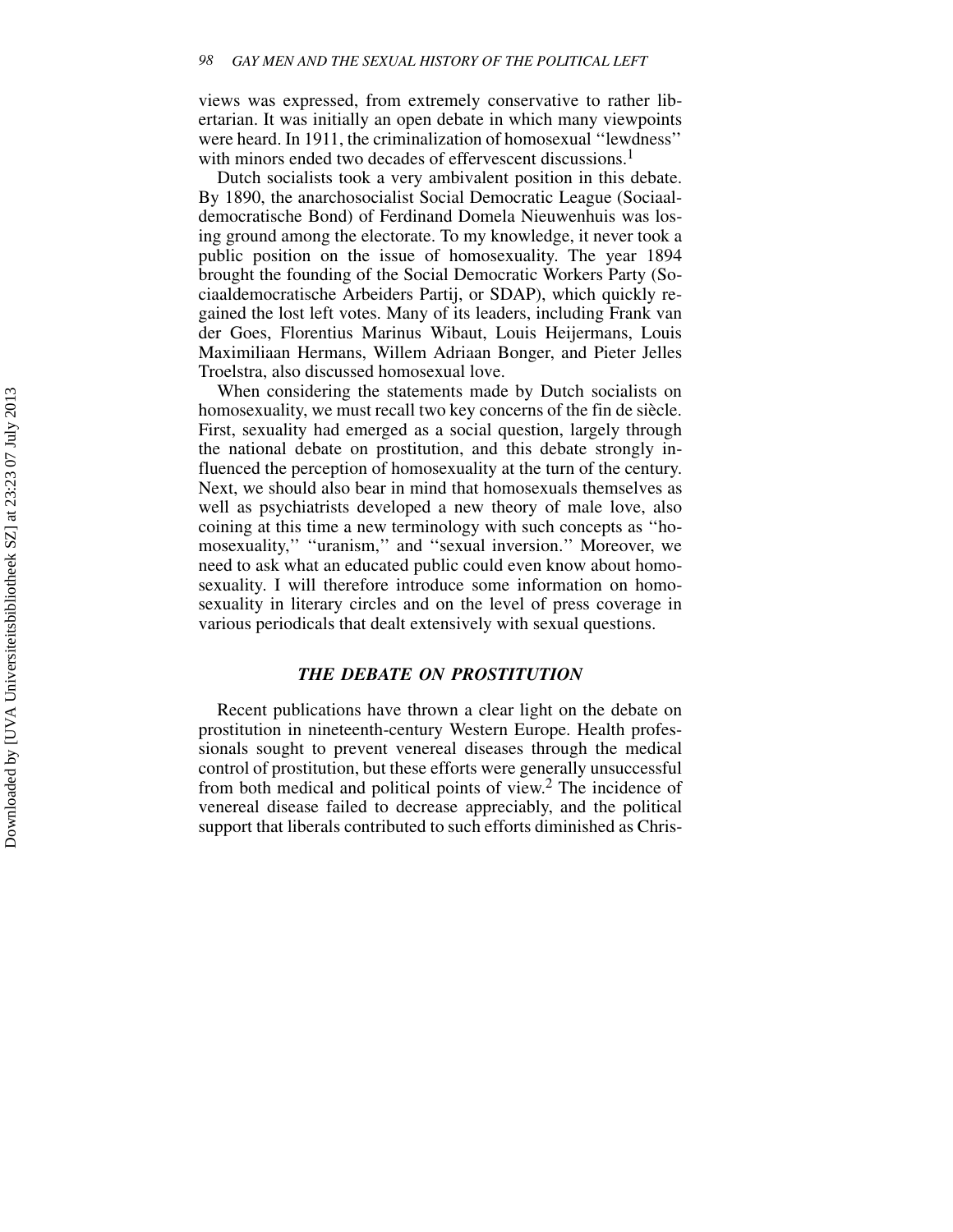views was expressed, from extremely conservative to rather libertarian. It was initially an open debate in which many viewpoints were heard. In 1911, the criminalization of homosexual ''lewdness'' with minors ended two decades of effervescent discussions.<sup>1</sup>

Dutch socialists took a very ambivalent position in this debate. By 1890, the anarchosocialist Social Democratic League (Sociaaldemocratische Bond) of Ferdinand Domela Nieuwenhuis was losing ground among the electorate. To my knowledge, it never took a public position on the issue of homosexuality. The year 1894 brought the founding of the Social Democratic Workers Party (Sociaaldemocratische Arbeiders Partij, or SDAP), which quickly regained the lost left votes. Many of its leaders, including Frank van der Goes, Florentius Marinus Wibaut, Louis Heijermans, Louis Maximiliaan Hermans, Willem Adriaan Bonger, and Pieter Jelles Troelstra, also discussed homosexual love.

When considering the statements made by Dutch socialists on homosexuality, we must recall two key concerns of the fin de siècle. First, sexuality had emerged as a social question, largely through the national debate on prostitution, and this debate strongly influenced the perception of homosexuality at the turn of the century. Next, we should also bear in mind that homosexuals themselves as well as psychiatrists developed a new theory of male love, also coining at this time a new terminology with such concepts as ''homosexuality," "uranism," and "sexual inversion." Moreover, we need to ask what an educated public could even know about homosexuality. I will therefore introduce some information on homosexuality in literary circles and on the level of press coverage in various periodicals that dealt extensively with sexual questions.

#### *THE DEBATE ON PROSTITUTION*

Recent publications have thrown a clear light on the debate on prostitution in nineteenth-century Western Europe. Health professionals sought to prevent venereal diseases through the medical control of prostitution, but these efforts were generally unsuccessful from both medical and political points of view.2 The incidence of venereal disease failed to decrease appreciably, and the political support that liberals contributed to such efforts diminished as Chris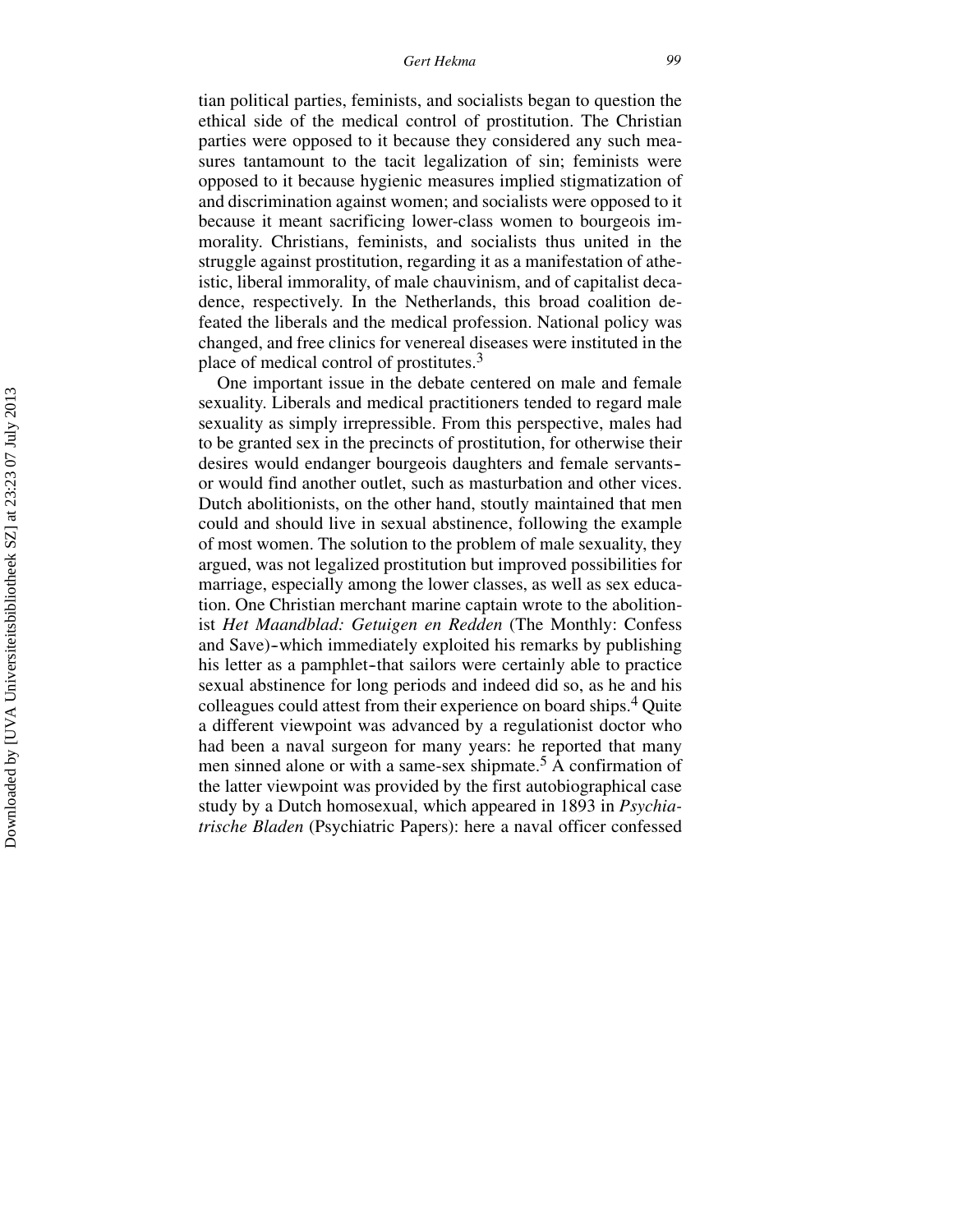tian political parties, feminists, and socialists began to question the ethical side of the medical control of prostitution. The Christian parties were opposed to it because they considered any such measures tantamount to the tacit legalization of sin; feminists were opposed to it because hygienic measures implied stigmatization of and discrimination against women; and socialists were opposed to it because it meant sacrificing lower-class women to bourgeois immorality. Christians, feminists, and socialists thus united in the struggle against prostitution, regarding it as a manifestation of atheistic, liberal immorality, of male chauvinism, and of capitalist decadence, respectively. In the Netherlands, this broad coalition defeated the liberals and the medical profession. National policy was changed, and free clinics for venereal diseases were instituted in the place of medical control of prostitutes.3

One important issue in the debate centered on male and female sexuality. Liberals and medical practitioners tended to regard male sexuality as simply irrepressible. From this perspective, males had to be granted sex in the precincts of prostitution, for otherwise their desires would endanger bourgeois daughters and female servants- or would find another outlet, such as masturbation and other vices. Dutch abolitionists, on the other hand, stoutly maintained that men could and should live in sexual abstinence, following the example of most women. The solution to the problem of male sexuality, they argued, was not legalized prostitution but improved possibilities for marriage, especially among the lower classes, as well as sex education. One Christian merchant marine captain wrote to the abolitionist *Het Maandblad: Getuigen en Redden* (The Monthly: Confess and Save)-which immediately exploited his remarks by publishing his letter as a pamphlet-that sailors were certainly able to practice sexual abstinence for long periods and indeed did so, as he and his colleagues could attest from their experience on board ships.<sup>4</sup> Quite a different viewpoint was advanced by a regulationist doctor who had been a naval surgeon for many years: he reported that many men sinned alone or with a same-sex shipmate.5 A confirmation of the latter viewpoint was provided by the first autobiographical case study by a Dutch homosexual, which appeared in 1893 in *Psychiatrische Bladen* (Psychiatric Papers): here a naval officer confessed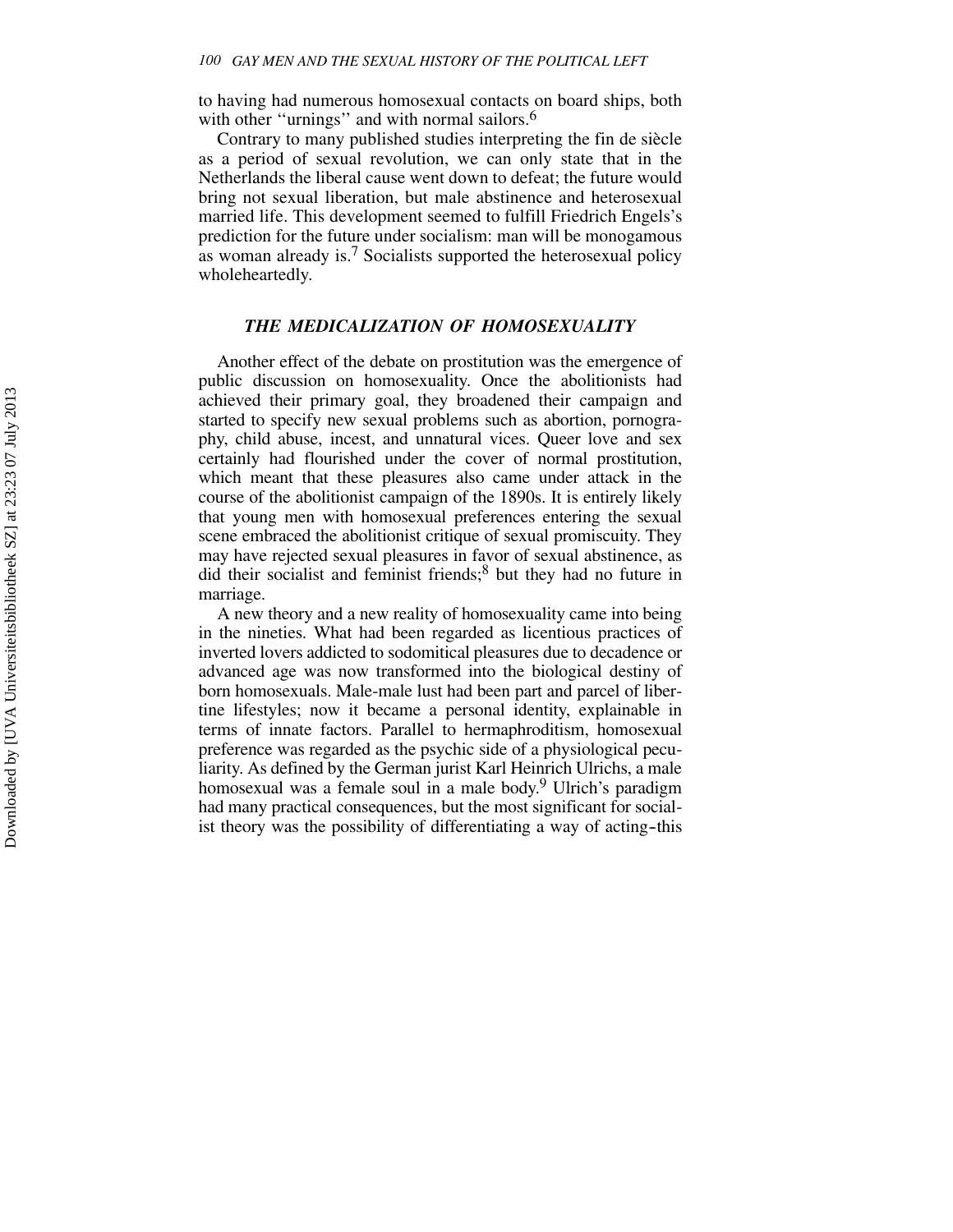to having had numerous homosexual contacts on board ships, both with other "urnings" and with normal sailors.<sup>6</sup>

Contrary to many published studies interpreting the fin de siècle as a period of sexual revolution, we can only state that in the Netherlands the liberal cause went down to defeat; the future would bring not sexual liberation, but male abstinence and heterosexual married life. This development seemed to fulfill Friedrich Engels's prediction for the future under socialism: man will be monogamous as woman already is.<sup>7</sup> Socialists supported the heterosexual policy wholeheartedly.

### *THE MEDICALIZATION OF HOMOSEXUALITY*

Another effect of the debate on prostitution was the emergence of public discussion on homosexuality. Once the abolitionists had achieved their primary goal, they broadened their campaign and started to specify new sexual problems such as abortion, pornography, child abuse, incest, and unnatural vices. Queer love and sex certainly had flourished under the cover of normal prostitution, which meant that these pleasures also came under attack in the course of the abolitionist campaign of the 1890s. It is entirely likely that young men with homosexual preferences entering the sexual scene embraced the abolitionist critique of sexual promiscuity. They may have rejected sexual pleasures in favor of sexual abstinence, as did their socialist and feminist friends;<sup>8</sup> but they had no future in marriage.

A new theory and a new reality of homosexuality came into being in the nineties. What had been regarded as licentious practices of inverted lovers addicted to sodomitical pleasures due to decadence or advanced age was now transformed into the biological destiny of born homosexuals. Male-male lust had been part and parcel of libertine lifestyles; now it became a personal identity, explainable in terms of innate factors. Parallel to hermaphroditism, homosexual preference was regarded as the psychic side of a physiological peculiarity. As defined by the German jurist Karl Heinrich Ulrichs, a male homosexual was a female soul in a male body.<sup>9</sup> Ulrich's paradigm had many practical consequences, but the most significant for socialist theory was the possibility of differentiating a way of acting-this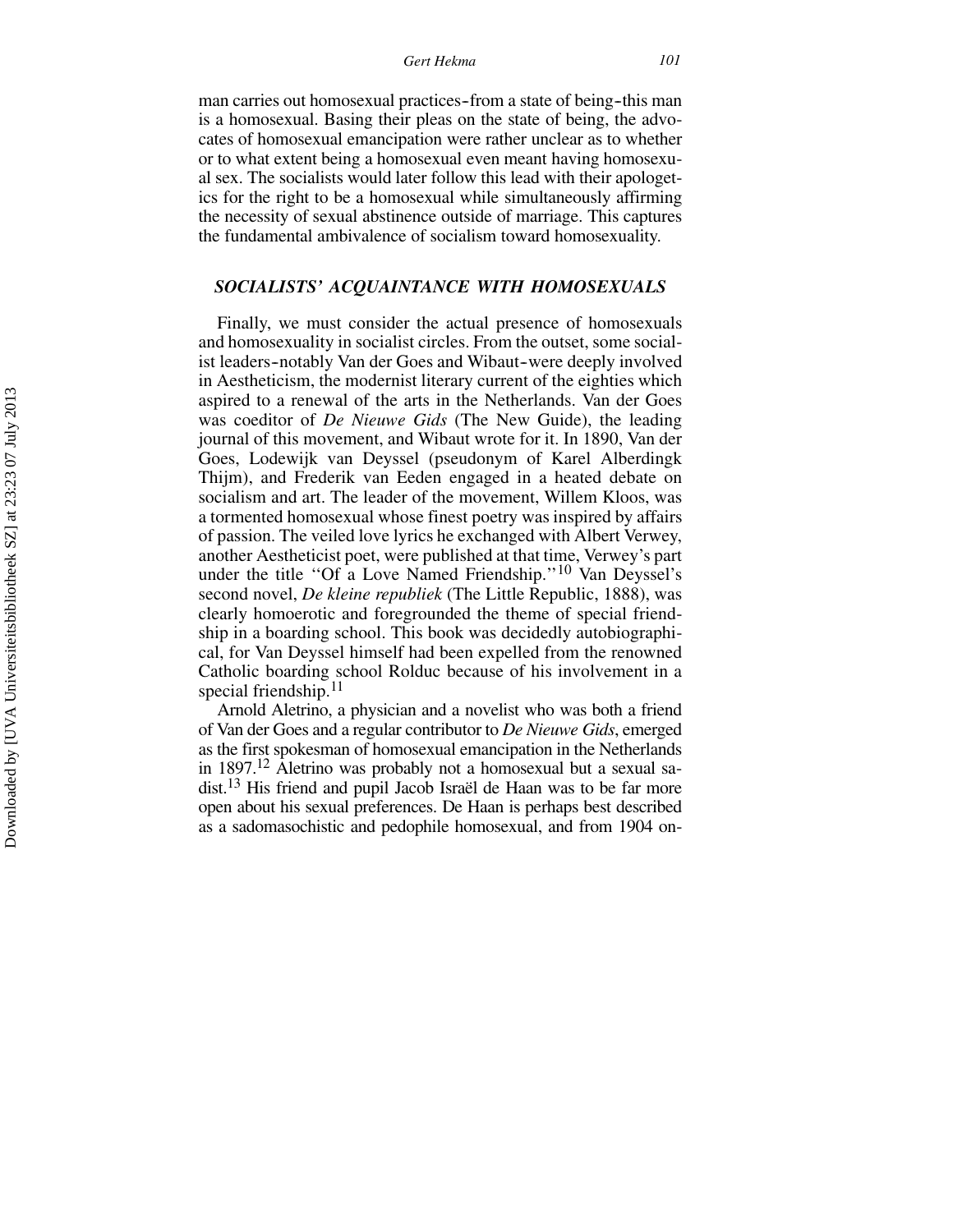man carries out homosexual practices-from a state of being-this man is a homosexual. Basing their pleas on the state of being, the advocates of homosexual emancipation were rather unclear as to whether or to what extent being a homosexual even meant having homosexual sex. The socialists would later follow this lead with their apologetics for the right to be a homosexual while simultaneously affirming the necessity of sexual abstinence outside of marriage. This captures the fundamental ambivalence of socialism toward homosexuality.

#### *SOCIALISTS' ACQUAINTANCE WITH HOMOSEXUALS*

Finally, we must consider the actual presence of homosexuals and homosexuality in socialist circles. From the outset, some socialist leaders-notably Van der Goes and Wibaut-were deeply involved in Aestheticism, the modernist literary current of the eighties which aspired to a renewal of the arts in the Netherlands. Van der Goes was coeditor of *De Nieuwe Gids* (The New Guide), the leading journal of this movement, and Wibaut wrote for it. In 1890, Van der Goes, Lodewijk van Deyssel (pseudonym of Karel Alberdingk Thijm), and Frederik van Eeden engaged in a heated debate on socialism and art. The leader of the movement, Willem Kloos, was a tormented homosexual whose finest poetry was inspired by affairs of passion. The veiled love lyrics he exchanged with Albert Verwey, another Aestheticist poet, were published at that time, Verwey's part under the title ''Of a Love Named Friendship.''<sup>10</sup> Van Deyssel's second novel, *De kleine republiek* (The Little Republic, 1888), was clearly homoerotic and foregrounded the theme of special friendship in a boarding school. This book was decidedly autobiographical, for Van Deyssel himself had been expelled from the renowned Catholic boarding school Rolduc because of his involvement in a special friendship.<sup>11</sup>

Arnold Aletrino, a physician and a novelist who was both a friend of Van der Goes and a regular contributor to *De Nieuwe Gids*, emerged as the first spokesman of homosexual emancipation in the Netherlands in 1897.12 Aletrino was probably not a homosexual but a sexual sadist.<sup>13</sup> His friend and pupil Jacob Israël de Haan was to be far more open about his sexual preferences. De Haan is perhaps best described as a sadomasochistic and pedophile homosexual, and from 1904 on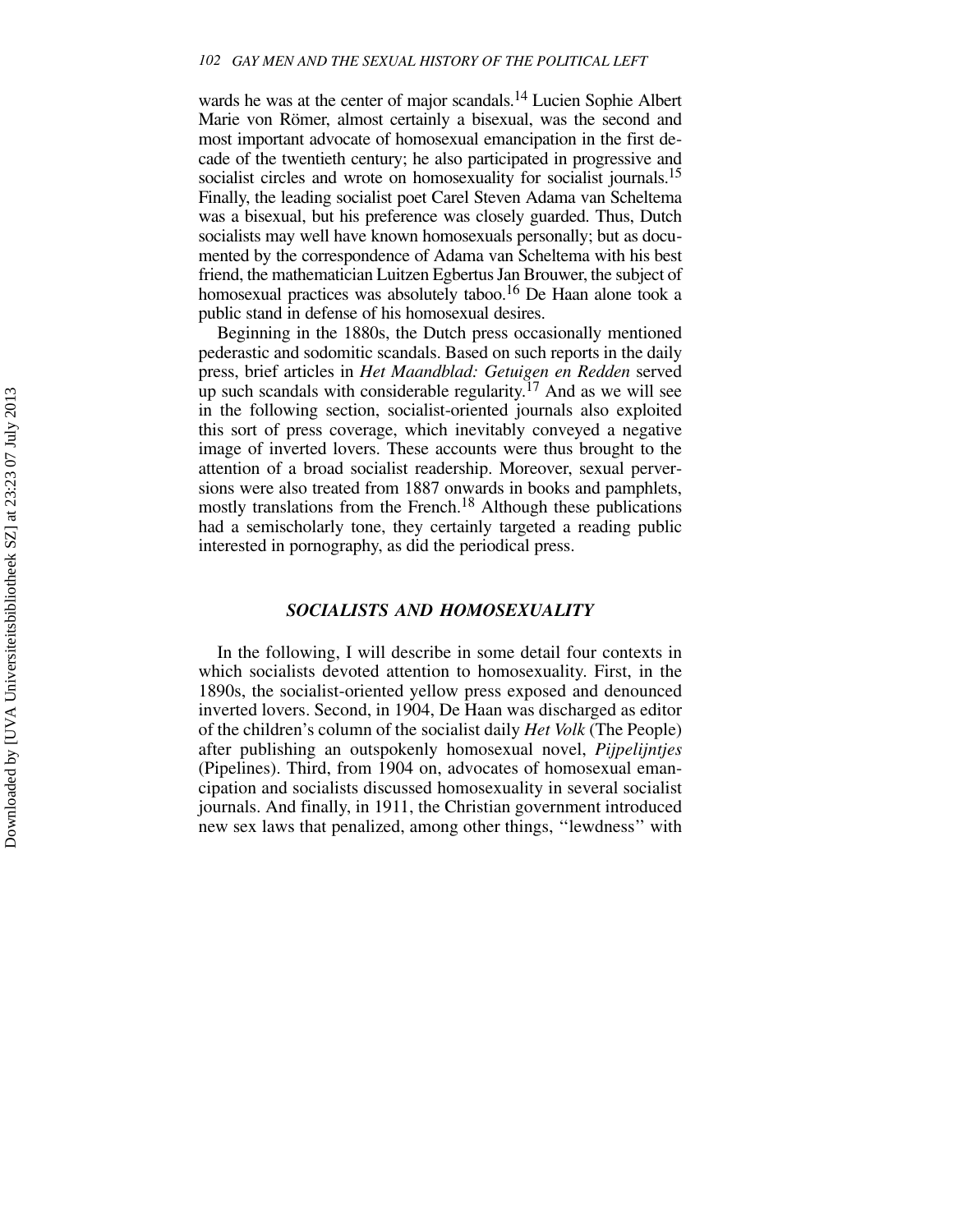wards he was at the center of major scandals.<sup>14</sup> Lucien Sophie Albert Marie von Römer, almost certainly a bisexual, was the second and most important advocate of homosexual emancipation in the first decade of the twentieth century; he also participated in progressive and socialist circles and wrote on homosexuality for socialist journals.<sup>15</sup> Finally, the leading socialist poet Carel Steven Adama van Scheltema was a bisexual, but his preference was closely guarded. Thus, Dutch socialists may well have known homosexuals personally; but as documented by the correspondence of Adama van Scheltema with his best friend, the mathematician Luitzen Egbertus Jan Brouwer, the subject of homosexual practices was absolutely taboo.<sup>16</sup> De Haan alone took a public stand in defense of his homosexual desires.

Beginning in the 1880s, the Dutch press occasionally mentioned pederastic and sodomitic scandals. Based on such reports in the daily press, brief articles in *Het Maandblad: Getuigen en Redden* served up such scandals with considerable regularity.<sup>17</sup> And as we will see in the following section, socialist-oriented journals also exploited this sort of press coverage, which inevitably conveyed a negative image of inverted lovers. These accounts were thus brought to the attention of a broad socialist readership. Moreover, sexual perversions were also treated from 1887 onwards in books and pamphlets, mostly translations from the French.18 Although these publications had a semischolarly tone, they certainly targeted a reading public interested in pornography, as did the periodical press.

## *SOCIALISTS AND HOMOSEXUALITY*

In the following, I will describe in some detail four contexts in which socialists devoted attention to homosexuality. First, in the 1890s, the socialist-oriented yellow press exposed and denounced inverted lovers. Second, in 1904, De Haan was discharged as editor of the children's column of the socialist daily *Het Volk* (The People) after publishing an outspokenly homosexual novel, *Pijpelijntjes* (Pipelines). Third, from 1904 on, advocates of homosexual emancipation and socialists discussed homosexuality in several socialist journals. And finally, in 1911, the Christian government introduced new sex laws that penalized, among other things, ''lewdness'' with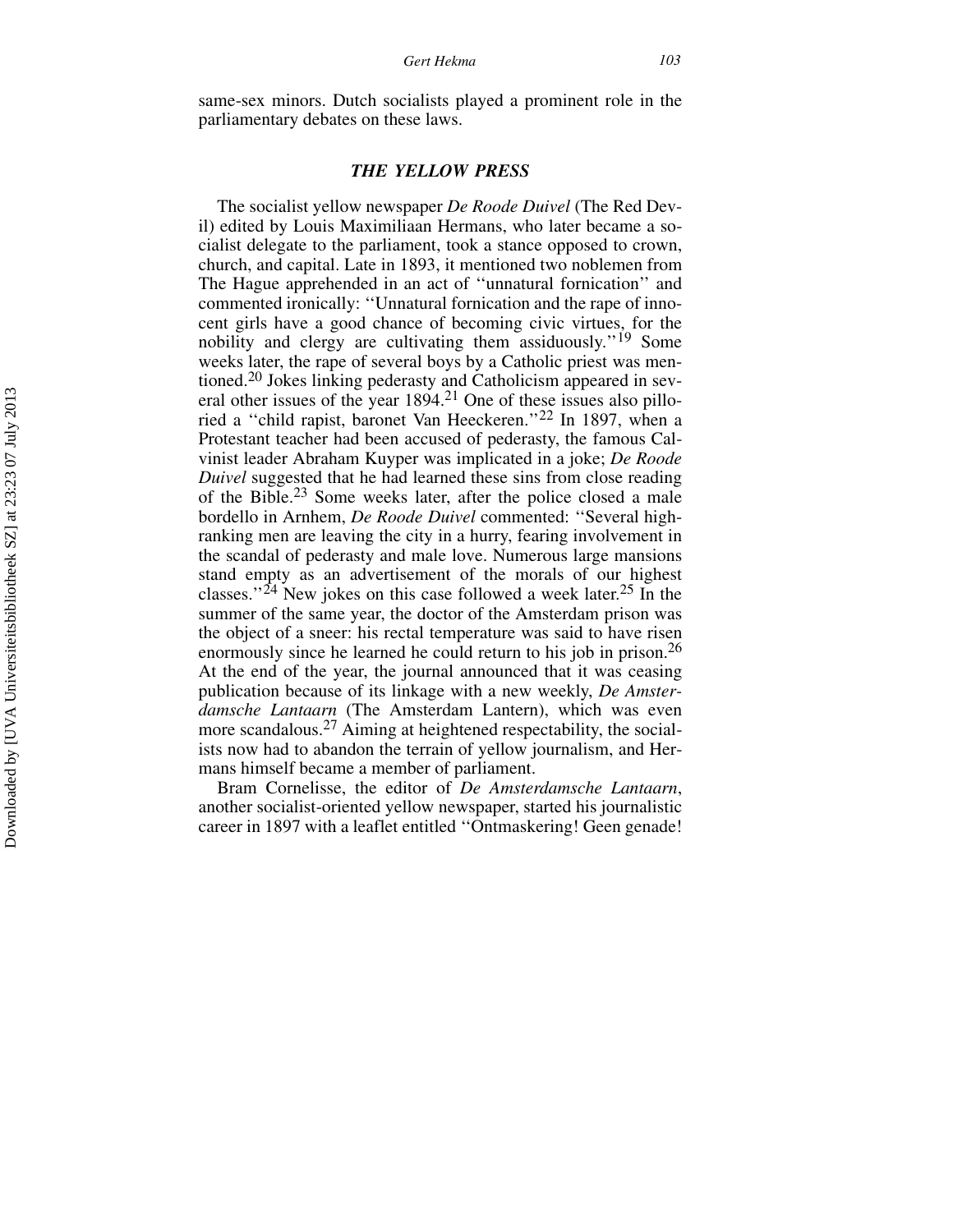same-sex minors. Dutch socialists played a prominent role in the parliamentary debates on these laws.

## *THE YELLOW PRESS*

The socialist yellow newspaper *De Roode Duivel* (The Red Devil) edited by Louis Maximiliaan Hermans, who later became a socialist delegate to the parliament, took a stance opposed to crown, church, and capital. Late in 1893, it mentioned two noblemen from The Hague apprehended in an act of ''unnatural fornication'' and commented ironically: ''Unnatural fornication and the rape of innocent girls have a good chance of becoming civic virtues, for the nobility and clergy are cultivating them assiduously.<sup> $19$ </sup> Some weeks later, the rape of several boys by a Catholic priest was mentioned.<sup>20</sup> Jokes linking pederasty and Catholicism appeared in several other issues of the year  $1894<sup>21</sup>$  One of these issues also pilloried a ''child rapist, baronet Van Heeckeren.''22 In 1897, when a Protestant teacher had been accused of pederasty, the famous Calvinist leader Abraham Kuyper was implicated in a joke; *De Roode Duivel* suggested that he had learned these sins from close reading of the Bible.<sup>23</sup> Some weeks later, after the police closed a male bordello in Arnhem, *De Roode Duivel* commented: ''Several highranking men are leaving the city in a hurry, fearing involvement in the scandal of pederasty and male love. Numerous large mansions stand empty as an advertisement of the morals of our highest classes."<sup>24</sup> New jokes on this case followed a week later.<sup>25</sup> In the summer of the same year, the doctor of the Amsterdam prison was the object of a sneer: his rectal temperature was said to have risen enormously since he learned he could return to his job in prison.<sup>26</sup> At the end of the year, the journal announced that it was ceasing publication because of its linkage with a new weekly, *De Amsterdamsche Lantaarn* (The Amsterdam Lantern), which was even more scandalous.27 Aiming at heightened respectability, the socialists now had to abandon the terrain of yellow journalism, and Hermans himself became a member of parliament.

Bram Cornelisse, the editor of *De Amsterdamsche Lantaarn*, another socialist-oriented yellow newspaper, started his journalistic career in 1897 with a leaflet entitled ''Ontmaskering! Geen genade!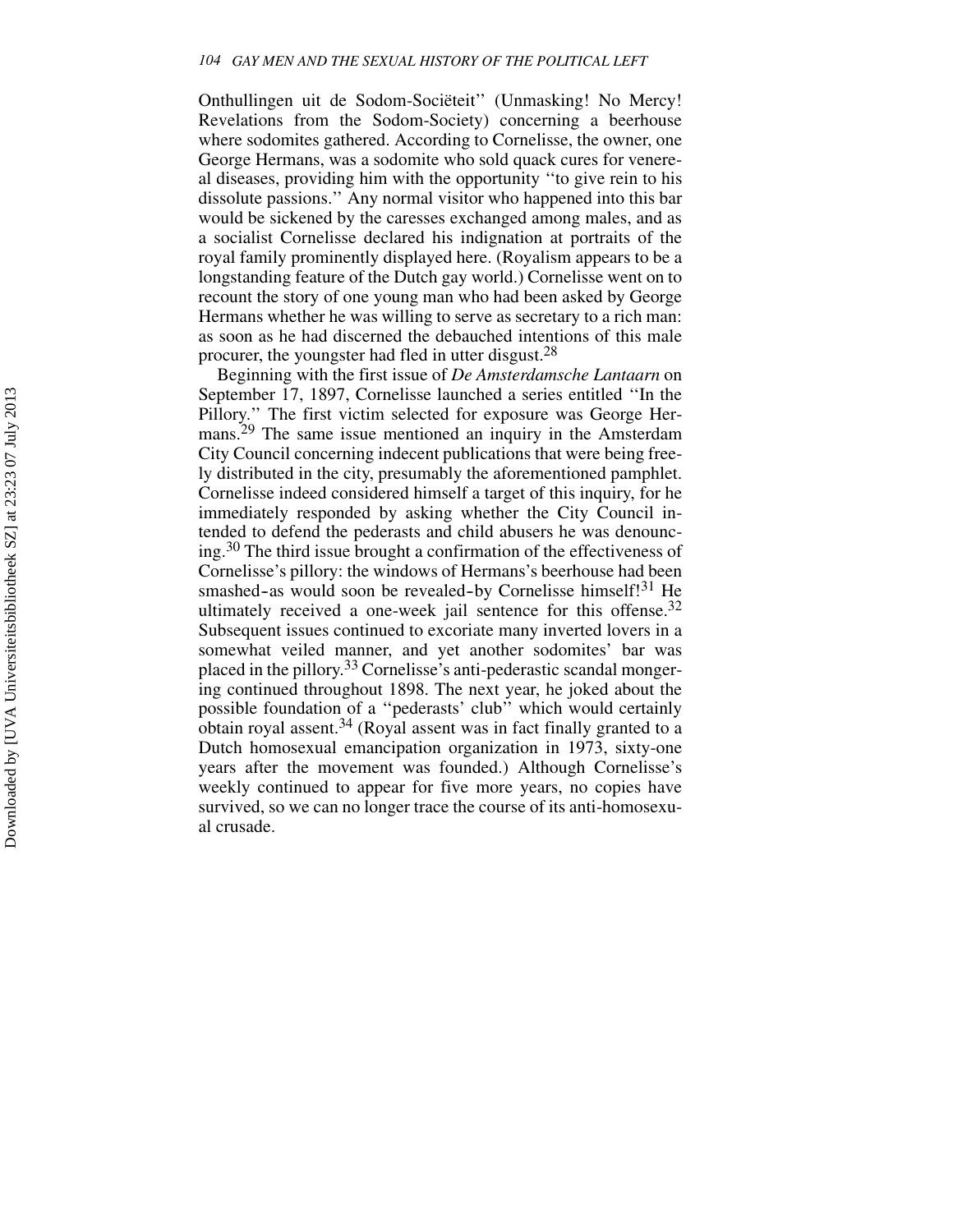Onthullingen uit de Sodom-Sociëteit'' (Unmasking! No Mercy! Revelations from the Sodom-Society) concerning a beerhouse where sodomites gathered. According to Cornelisse, the owner, one George Hermans, was a sodomite who sold quack cures for venereal diseases, providing him with the opportunity ''to give rein to his dissolute passions.'' Any normal visitor who happened into this bar would be sickened by the caresses exchanged among males, and as a socialist Cornelisse declared his indignation at portraits of the royal family prominently displayed here. (Royalism appears to be a longstanding feature of the Dutch gay world.) Cornelisse went on to recount the story of one young man who had been asked by George Hermans whether he was willing to serve as secretary to a rich man: as soon as he had discerned the debauched intentions of this male procurer, the youngster had fled in utter disgust.<sup>28</sup>

Beginning with the first issue of *De Amsterdamsche Lantaarn* on September 17, 1897, Cornelisse launched a series entitled ''In the Pillory.'' The first victim selected for exposure was George Hermans.29 The same issue mentioned an inquiry in the Amsterdam City Council concerning indecent publications that were being freely distributed in the city, presumably the aforementioned pamphlet. Cornelisse indeed considered himself a target of this inquiry, for he immediately responded by asking whether the City Council intended to defend the pederasts and child abusers he was denouncing.<sup>30</sup> The third issue brought a confirmation of the effectiveness of Cornelisse's pillory: the windows of Hermans's beerhouse had been smashed-as would soon be revealed-by Cornelisse himself!<sup>31</sup> He ultimately received a one-week jail sentence for this offense.<sup>32</sup> Subsequent issues continued to excoriate many inverted lovers in a somewhat veiled manner, and yet another sodomites' bar was placed in the pillory.<sup>33</sup> Cornelisse's anti-pederastic scandal mongering continued throughout 1898. The next year, he joked about the possible foundation of a ''pederasts' club'' which would certainly obtain royal assent.<sup>34</sup> (Royal assent was in fact finally granted to a Dutch homosexual emancipation organization in 1973, sixty-one years after the movement was founded.) Although Cornelisse's weekly continued to appear for five more years, no copies have survived, so we can no longer trace the course of its anti-homosexual crusade.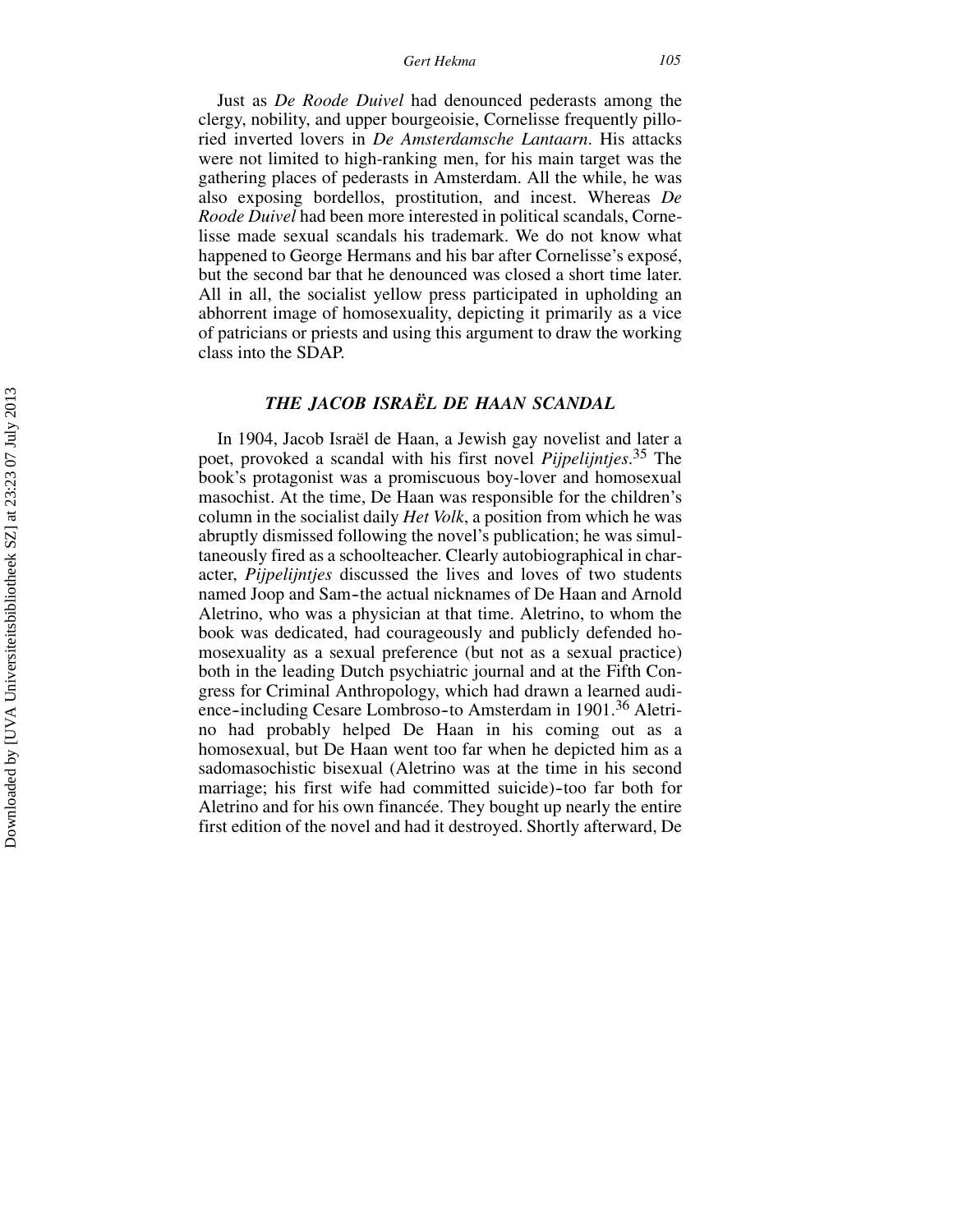Just as *De Roode Duivel* had denounced pederasts among the clergy, nobility, and upper bourgeoisie, Cornelisse frequently pilloried inverted lovers in *De Amsterdamsche Lantaarn*. His attacks were not limited to high-ranking men, for his main target was the gathering places of pederasts in Amsterdam. All the while, he was also exposing bordellos, prostitution, and incest. Whereas *De Roode Duivel* had been more interested in political scandals, Cornelisse made sexual scandals his trademark. We do not know what happened to George Hermans and his bar after Cornelisse's exposé, but the second bar that he denounced was closed a short time later. All in all, the socialist yellow press participated in upholding an abhorrent image of homosexuality, depicting it primarily as a vice of patricians or priests and using this argument to draw the working class into the SDAP.

## *THE JACOB ISRAËL DE HAAN SCANDAL*

In 1904, Jacob Israël de Haan, a Jewish gay novelist and later a poet, provoked a scandal with his first novel *Pijpelijntjes*. <sup>35</sup> The book's protagonist was a promiscuous boy-lover and homosexual masochist. At the time, De Haan was responsible for the children's column in the socialist daily *Het Volk*, a position from which he was abruptly dismissed following the novel's publication; he was simultaneously fired as a schoolteacher. Clearly autobiographical in character, *Pijpelijntjes* discussed the lives and loves of two students named Joop and Sam-the actual nicknames of De Haan and Arnold Aletrino, who was a physician at that time. Aletrino, to whom the book was dedicated, had courageously and publicly defended homosexuality as a sexual preference (but not as a sexual practice) both in the leading Dutch psychiatric journal and at the Fifth Congress for Criminal Anthropology, which had drawn a learned audience-including Cesare Lombroso-to Amsterdam in 1901.<sup>36</sup> Aletrino had probably helped De Haan in his coming out as a homosexual, but De Haan went too far when he depicted him as a sadomasochistic bisexual (Aletrino was at the time in his second marriage; his first wife had committed suicide)-too far both for Aletrino and for his own financée. They bought up nearly the entire first edition of the novel and had it destroyed. Shortly afterward, De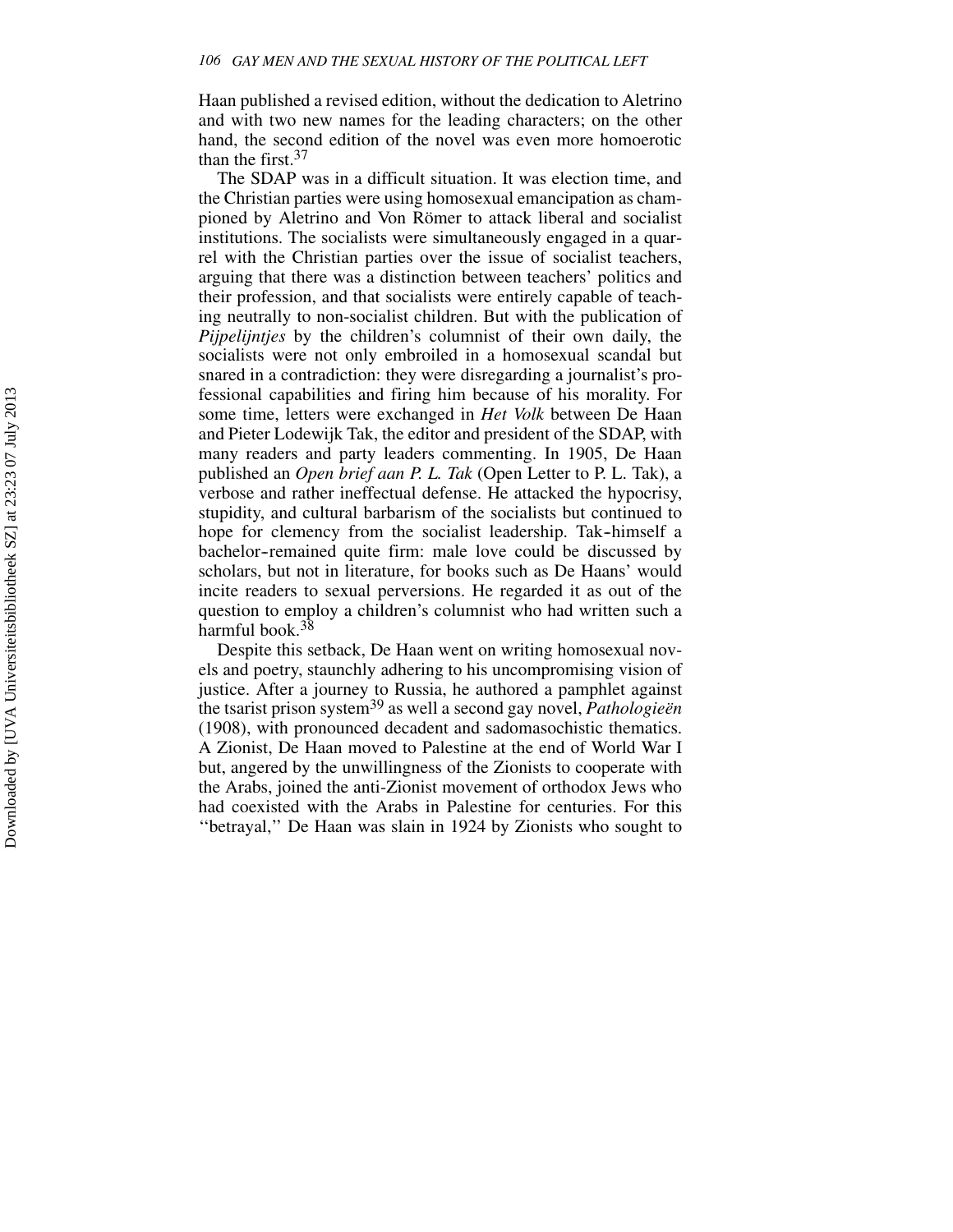Haan published a revised edition, without the dedication to Aletrino and with two new names for the leading characters; on the other hand, the second edition of the novel was even more homoerotic than the first.37

The SDAP was in a difficult situation. It was election time, and the Christian parties were using homosexual emancipation as championed by Aletrino and Von Römer to attack liberal and socialist institutions. The socialists were simultaneously engaged in a quarrel with the Christian parties over the issue of socialist teachers, arguing that there was a distinction between teachers' politics and their profession, and that socialists were entirely capable of teaching neutrally to non-socialist children. But with the publication of *Pijpelijntjes* by the children's columnist of their own daily, the socialists were not only embroiled in a homosexual scandal but snared in a contradiction: they were disregarding a journalist's professional capabilities and firing him because of his morality. For some time, letters were exchanged in *Het Volk* between De Haan and Pieter Lodewijk Tak, the editor and president of the SDAP, with many readers and party leaders commenting. In 1905, De Haan published an *Open brief aan P. L. Tak* (Open Letter to P. L. Tak), a verbose and rather ineffectual defense. He attacked the hypocrisy, stupidity, and cultural barbarism of the socialists but continued to hope for clemency from the socialist leadership. Tak-himself a bachelor--remained quite firm: male love could be discussed by scholars, but not in literature, for books such as De Haans' would incite readers to sexual perversions. He regarded it as out of the question to employ a children's columnist who had written such a harmful book.<sup>38</sup>

Despite this setback, De Haan went on writing homosexual novels and poetry, staunchly adhering to his uncompromising vision of justice. After a journey to Russia, he authored a pamphlet against the tsarist prison system<sup>39</sup> as well a second gay novel, *Pathologieën* (1908), with pronounced decadent and sadomasochistic thematics. A Zionist, De Haan moved to Palestine at the end of World War I but, angered by the unwillingness of the Zionists to cooperate with the Arabs, joined the anti-Zionist movement of orthodox Jews who had coexisted with the Arabs in Palestine for centuries. For this ''betrayal,'' De Haan was slain in 1924 by Zionists who sought to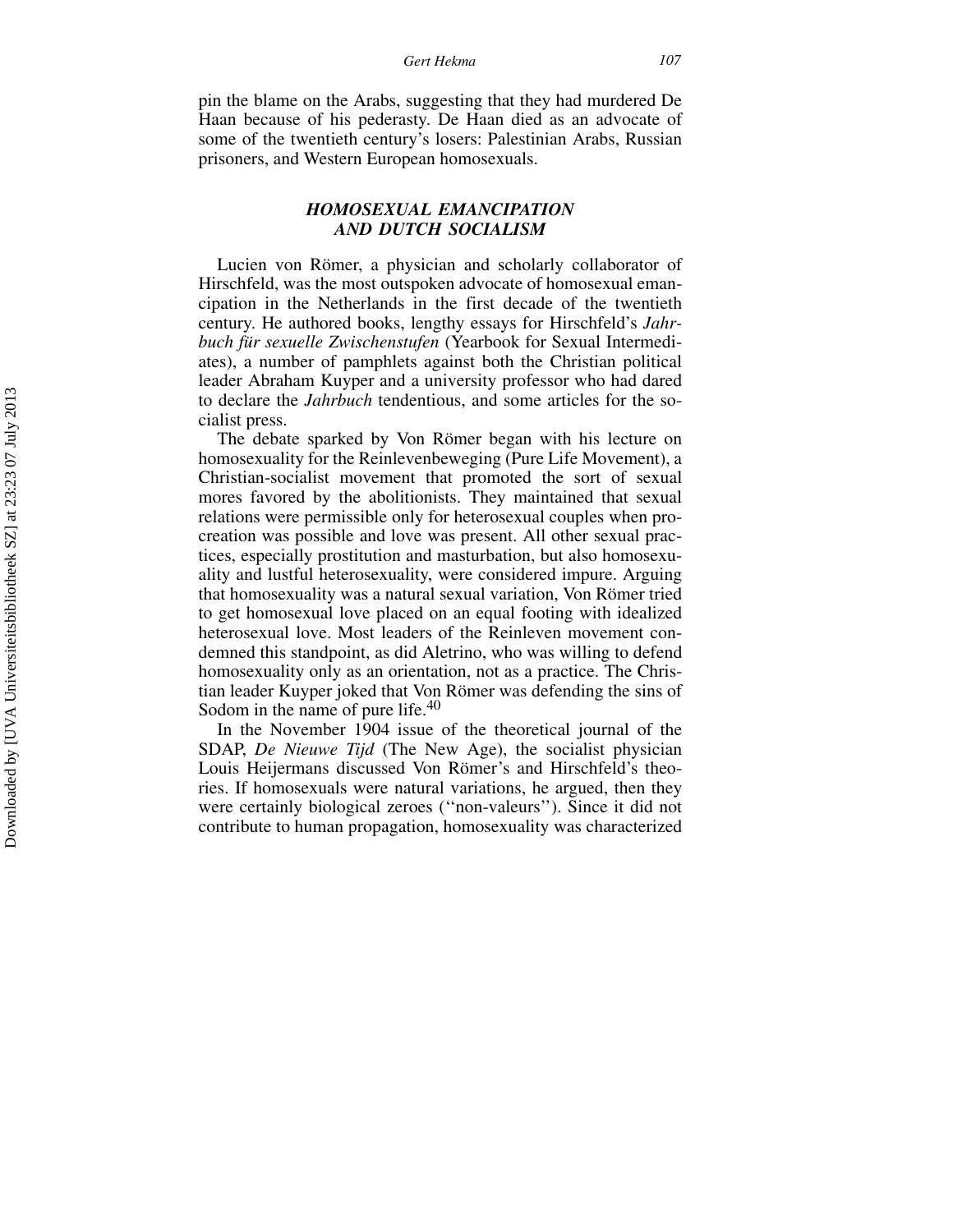pin the blame on the Arabs, suggesting that they had murdered De Haan because of his pederasty. De Haan died as an advocate of some of the twentieth century's losers: Palestinian Arabs, Russian prisoners, and Western European homosexuals.

## *HOMOSEXUAL EMANCIPATION AND DUTCH SOCIALISM*

Lucien von Römer, a physician and scholarly collaborator of Hirschfeld, was the most outspoken advocate of homosexual emancipation in the Netherlands in the first decade of the twentieth century. He authored books, lengthy essays for Hirschfeld's *Jahrbuch für sexuelle Zwischenstufen* (Yearbook for Sexual Intermediates), a number of pamphlets against both the Christian political leader Abraham Kuyper and a university professor who had dared to declare the *Jahrbuch* tendentious, and some articles for the socialist press.

The debate sparked by Von Römer began with his lecture on homosexuality for the Reinlevenbeweging (Pure Life Movement), a Christian-socialist movement that promoted the sort of sexual mores favored by the abolitionists. They maintained that sexual relations were permissible only for heterosexual couples when procreation was possible and love was present. All other sexual practices, especially prostitution and masturbation, but also homosexuality and lustful heterosexuality, were considered impure. Arguing that homosexuality was a natural sexual variation, Von Römer tried to get homosexual love placed on an equal footing with idealized heterosexual love. Most leaders of the Reinleven movement condemned this standpoint, as did Aletrino, who was willing to defend homosexuality only as an orientation, not as a practice. The Christian leader Kuyper joked that Von Römer was defending the sins of Sodom in the name of pure life.<sup>40</sup>

In the November 1904 issue of the theoretical journal of the SDAP, *De Nieuwe Tijd* (The New Age), the socialist physician Louis Heijermans discussed Von Römer's and Hirschfeld's theories. If homosexuals were natural variations, he argued, then they were certainly biological zeroes (''non-valeurs''). Since it did not contribute to human propagation, homosexuality was characterized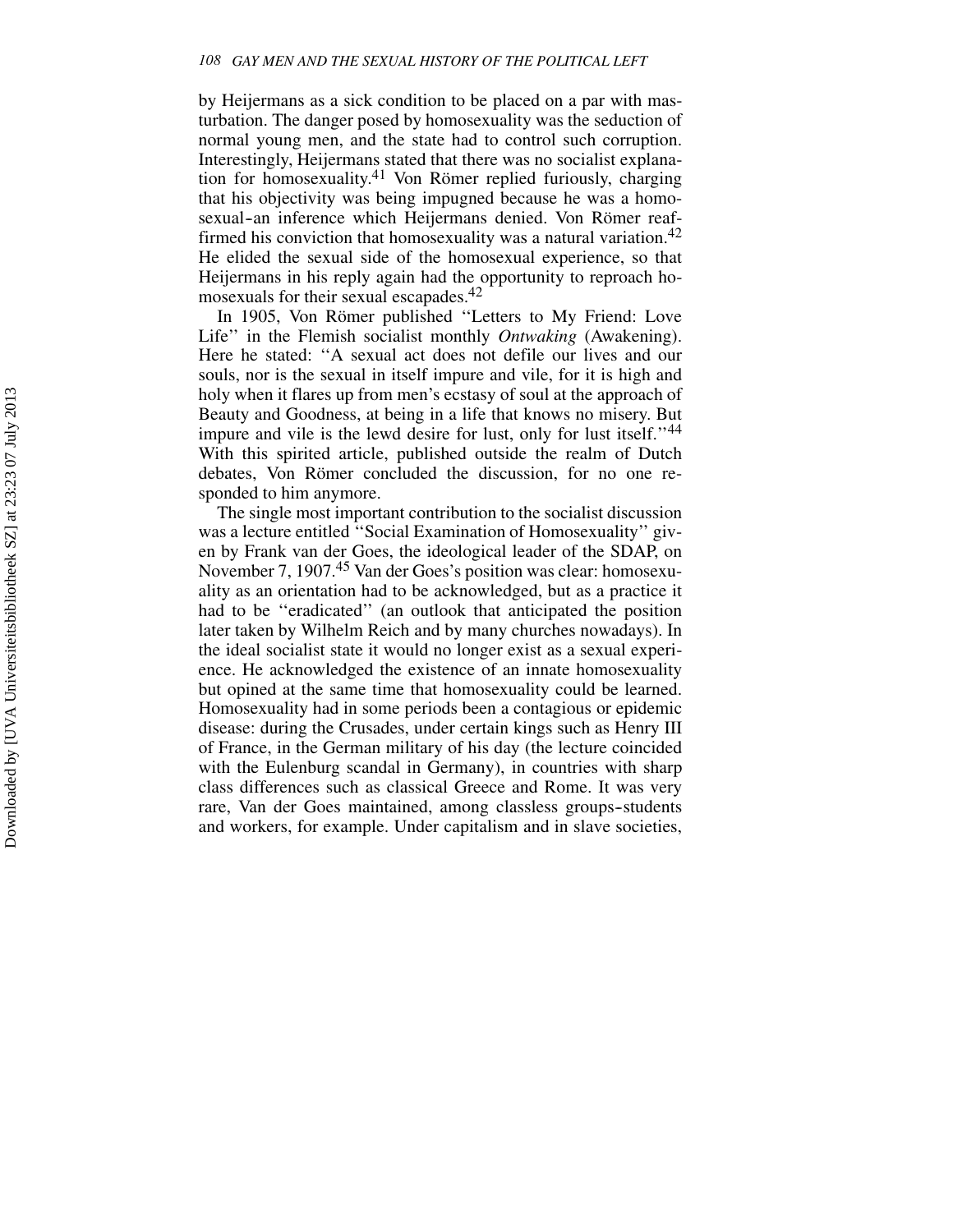by Heijermans as a sick condition to be placed on a par with masturbation. The danger posed by homosexuality was the seduction of normal young men, and the state had to control such corruption. Interestingly, Heijermans stated that there was no socialist explanation for homosexuality.<sup>41</sup> Von Römer replied furiously, charging that his objectivity was being impugned because he was a homosexual-an inference which Heijermans denied. Von Römer reaffirmed his conviction that homosexuality was a natural variation.<sup>42</sup> He elided the sexual side of the homosexual experience, so that Heijermans in his reply again had the opportunity to reproach homosexuals for their sexual escapades.<sup>42</sup>

In 1905, Von Römer published ''Letters to My Friend: Love Life'' in the Flemish socialist monthly *Ontwaking* (Awakening). Here he stated: ''A sexual act does not defile our lives and our souls, nor is the sexual in itself impure and vile, for it is high and holy when it flares up from men's ecstasy of soul at the approach of Beauty and Goodness, at being in a life that knows no misery. But impure and vile is the lewd desire for lust, only for lust itself.<sup>''44</sup> With this spirited article, published outside the realm of Dutch debates, Von Römer concluded the discussion, for no one responded to him anymore.

The single most important contribution to the socialist discussion was a lecture entitled ''Social Examination of Homosexuality'' given by Frank van der Goes, the ideological leader of the SDAP, on November 7, 1907.<sup>45</sup> Van der Goes's position was clear: homosexuality as an orientation had to be acknowledged, but as a practice it had to be ''eradicated'' (an outlook that anticipated the position later taken by Wilhelm Reich and by many churches nowadays). In the ideal socialist state it would no longer exist as a sexual experience. He acknowledged the existence of an innate homosexuality but opined at the same time that homosexuality could be learned. Homosexuality had in some periods been a contagious or epidemic disease: during the Crusades, under certain kings such as Henry III of France, in the German military of his day (the lecture coincided with the Eulenburg scandal in Germany), in countries with sharp class differences such as classical Greece and Rome. It was very rare, Van der Goes maintained, among classless groups--students and workers, for example. Under capitalism and in slave societies,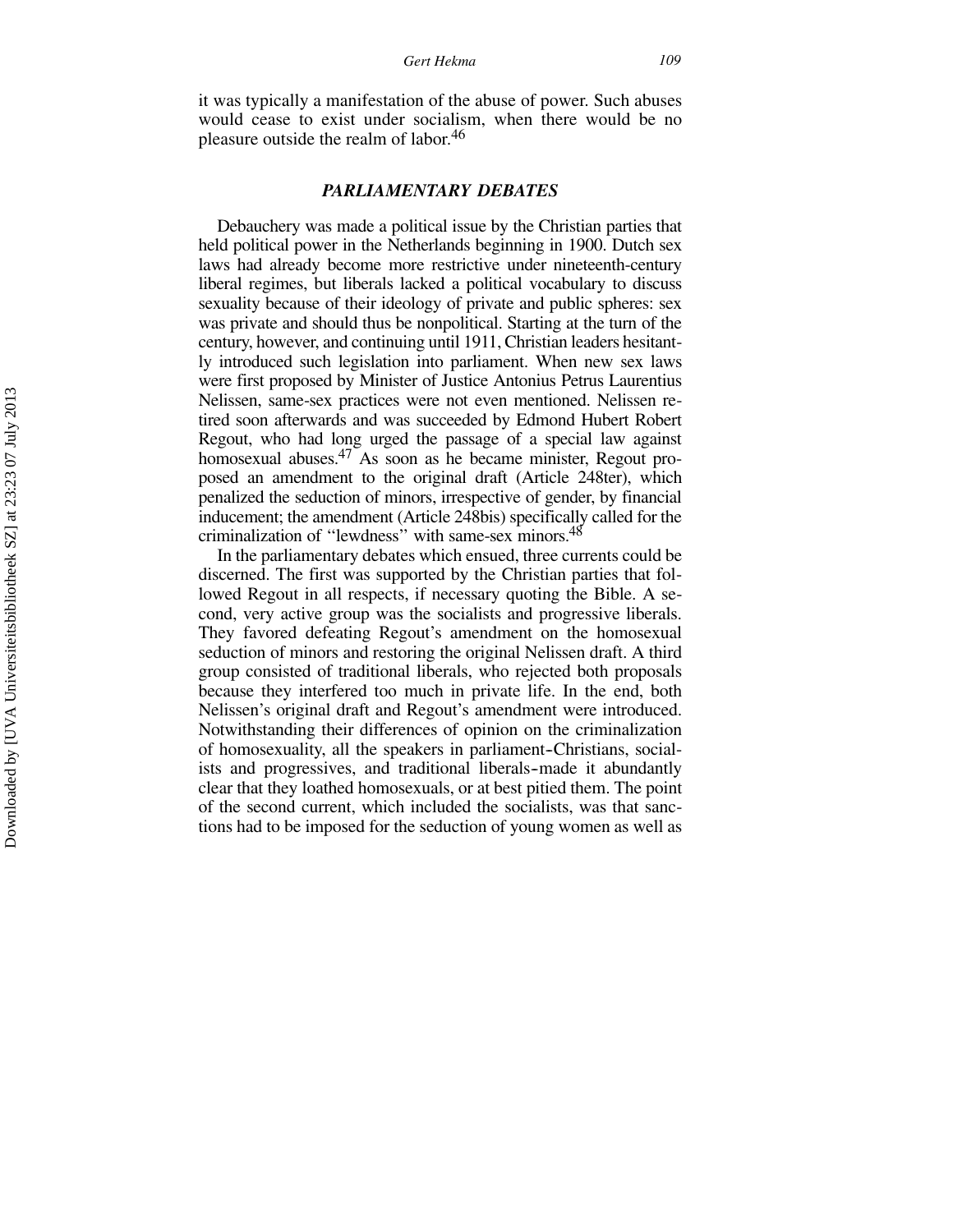it was typically a manifestation of the abuse of power. Such abuses would cease to exist under socialism, when there would be no pleasure outside the realm of labor.<sup>46</sup>

## *PARLIAMENTARY DEBATES*

Debauchery was made a political issue by the Christian parties that held political power in the Netherlands beginning in 1900. Dutch sex laws had already become more restrictive under nineteenth-century liberal regimes, but liberals lacked a political vocabulary to discuss sexuality because of their ideology of private and public spheres: sex was private and should thus be nonpolitical. Starting at the turn of the century, however, and continuing until 1911, Christian leaders hesitantly introduced such legislation into parliament. When new sex laws were first proposed by Minister of Justice Antonius Petrus Laurentius Nelissen, same-sex practices were not even mentioned. Nelissen retired soon afterwards and was succeeded by Edmond Hubert Robert Regout, who had long urged the passage of a special law against homosexual abuses. $47$  As soon as he became minister, Regout proposed an amendment to the original draft (Article 248ter), which penalized the seduction of minors, irrespective of gender, by financial inducement; the amendment (Article 248bis) specifically called for the criminalization of ''lewdness'' with same-sex minors.48

In the parliamentary debates which ensued, three currents could be discerned. The first was supported by the Christian parties that followed Regout in all respects, if necessary quoting the Bible. A second, very active group was the socialists and progressive liberals. They favored defeating Regout's amendment on the homosexual seduction of minors and restoring the original Nelissen draft. A third group consisted of traditional liberals, who rejected both proposals because they interfered too much in private life. In the end, both Nelissen's original draft and Regout's amendment were introduced. Notwithstanding their differences of opinion on the criminalization of homosexuality, all the speakers in parliament-Christians, socialists and progressives, and traditional liberals-made it abundantly clear that they loathed homosexuals, or at best pitied them. The point of the second current, which included the socialists, was that sanctions had to be imposed for the seduction of young women as well as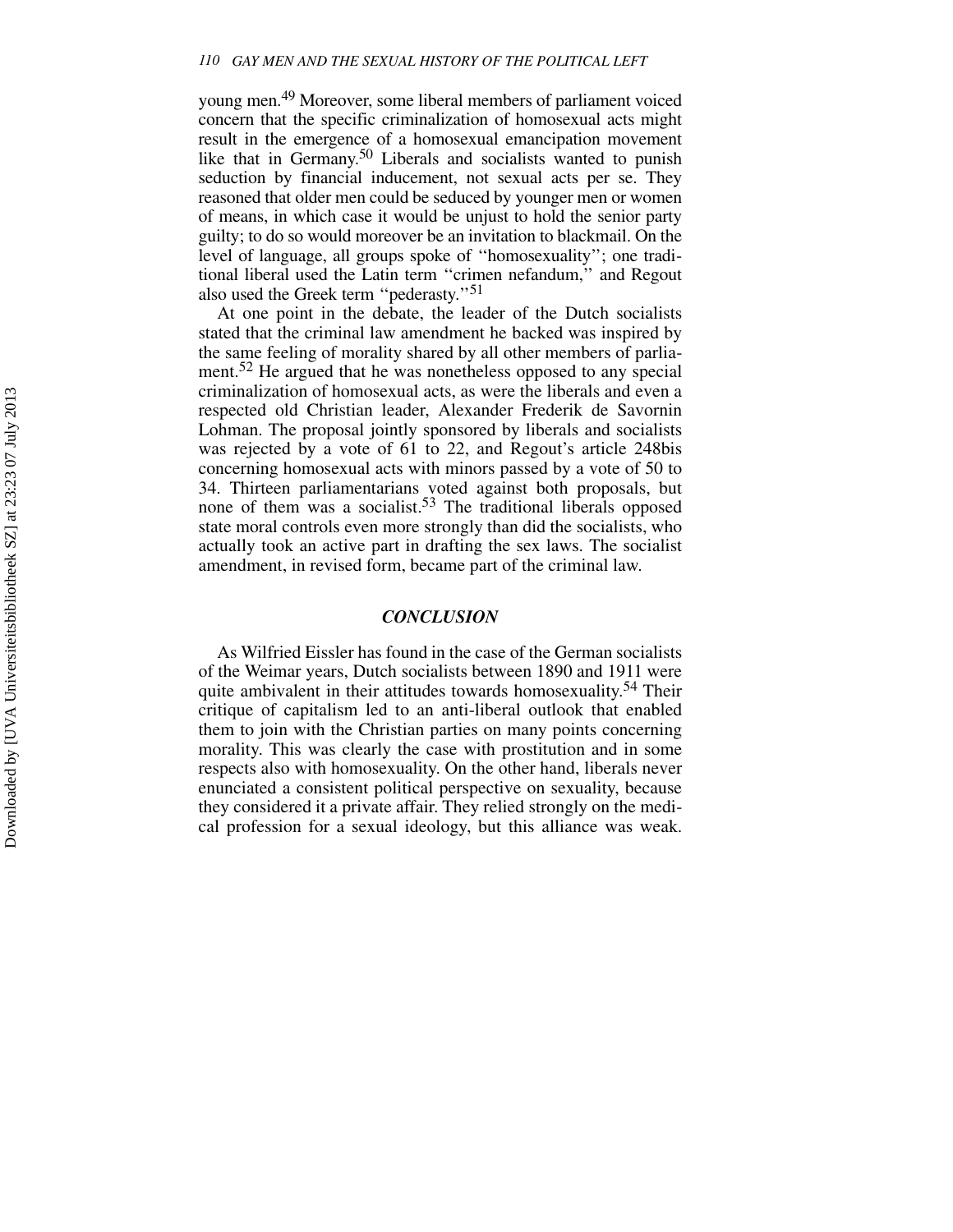young men.49 Moreover, some liberal members of parliament voiced concern that the specific criminalization of homosexual acts might result in the emergence of a homosexual emancipation movement like that in Germany.50 Liberals and socialists wanted to punish seduction by financial inducement, not sexual acts per se. They reasoned that older men could be seduced by younger men or women of means, in which case it would be unjust to hold the senior party guilty; to do so would moreover be an invitation to blackmail. On the level of language, all groups spoke of ''homosexuality''; one traditional liberal used the Latin term ''crimen nefandum,'' and Regout also used the Greek term ''pederasty.''51

At one point in the debate, the leader of the Dutch socialists stated that the criminal law amendment he backed was inspired by the same feeling of morality shared by all other members of parliament.<sup>52</sup> He argued that he was nonetheless opposed to any special criminalization of homosexual acts, as were the liberals and even a respected old Christian leader, Alexander Frederik de Savornin Lohman. The proposal jointly sponsored by liberals and socialists was rejected by a vote of 61 to 22, and Regout's article 248bis concerning homosexual acts with minors passed by a vote of 50 to 34. Thirteen parliamentarians voted against both proposals, but none of them was a socialist.<sup>53</sup> The traditional liberals opposed state moral controls even more strongly than did the socialists, who actually took an active part in drafting the sex laws. The socialist amendment, in revised form, became part of the criminal law.

### *CONCLUSION*

As Wilfried Eissler has found in the case of the German socialists of the Weimar years, Dutch socialists between 1890 and 1911 were quite ambivalent in their attitudes towards homosexuality.<sup>54</sup> Their critique of capitalism led to an anti-liberal outlook that enabled them to join with the Christian parties on many points concerning morality. This was clearly the case with prostitution and in some respects also with homosexuality. On the other hand, liberals never enunciated a consistent political perspective on sexuality, because they considered it a private affair. They relied strongly on the medical profession for a sexual ideology, but this alliance was weak.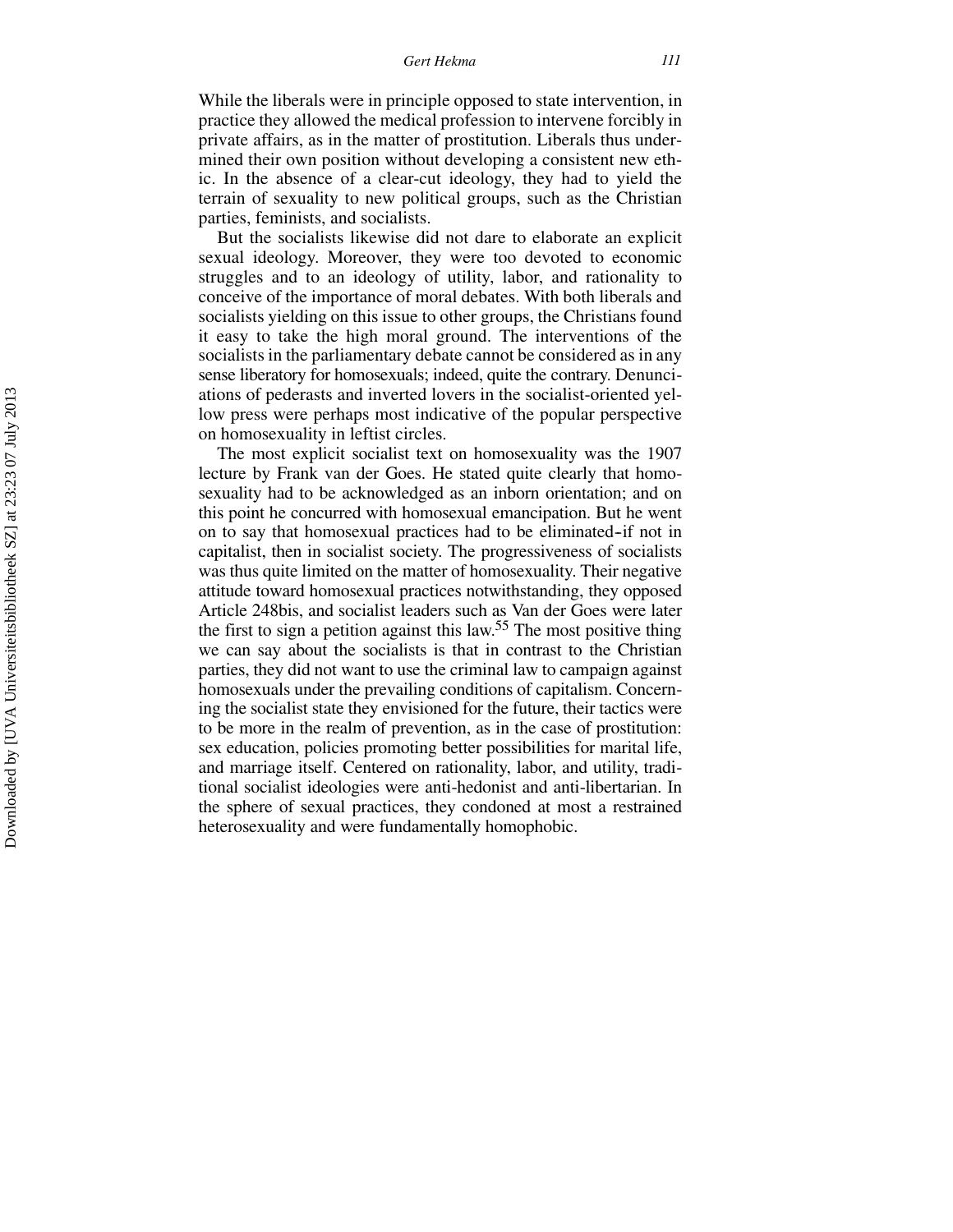While the liberals were in principle opposed to state intervention, in practice they allowed the medical profession to intervene forcibly in private affairs, as in the matter of prostitution. Liberals thus undermined their own position without developing a consistent new ethic. In the absence of a clear-cut ideology, they had to yield the terrain of sexuality to new political groups, such as the Christian parties, feminists, and socialists.

But the socialists likewise did not dare to elaborate an explicit sexual ideology. Moreover, they were too devoted to economic struggles and to an ideology of utility, labor, and rationality to conceive of the importance of moral debates. With both liberals and socialists yielding on this issue to other groups, the Christians found it easy to take the high moral ground. The interventions of the socialists in the parliamentary debate cannot be considered as in any sense liberatory for homosexuals; indeed, quite the contrary. Denunciations of pederasts and inverted lovers in the socialist-oriented yellow press were perhaps most indicative of the popular perspective on homosexuality in leftist circles.

The most explicit socialist text on homosexuality was the 1907 lecture by Frank van der Goes. He stated quite clearly that homosexuality had to be acknowledged as an inborn orientation; and on this point he concurred with homosexual emancipation. But he went on to say that homosexual practices had to be eliminated--if not in capitalist, then in socialist society. The progressiveness of socialists was thus quite limited on the matter of homosexuality. Their negative attitude toward homosexual practices notwithstanding, they opposed Article 248bis, and socialist leaders such as Van der Goes were later the first to sign a petition against this law.<sup>55</sup> The most positive thing we can say about the socialists is that in contrast to the Christian parties, they did not want to use the criminal law to campaign against homosexuals under the prevailing conditions of capitalism. Concerning the socialist state they envisioned for the future, their tactics were to be more in the realm of prevention, as in the case of prostitution: sex education, policies promoting better possibilities for marital life, and marriage itself. Centered on rationality, labor, and utility, traditional socialist ideologies were anti-hedonist and anti-libertarian. In the sphere of sexual practices, they condoned at most a restrained heterosexuality and were fundamentally homophobic.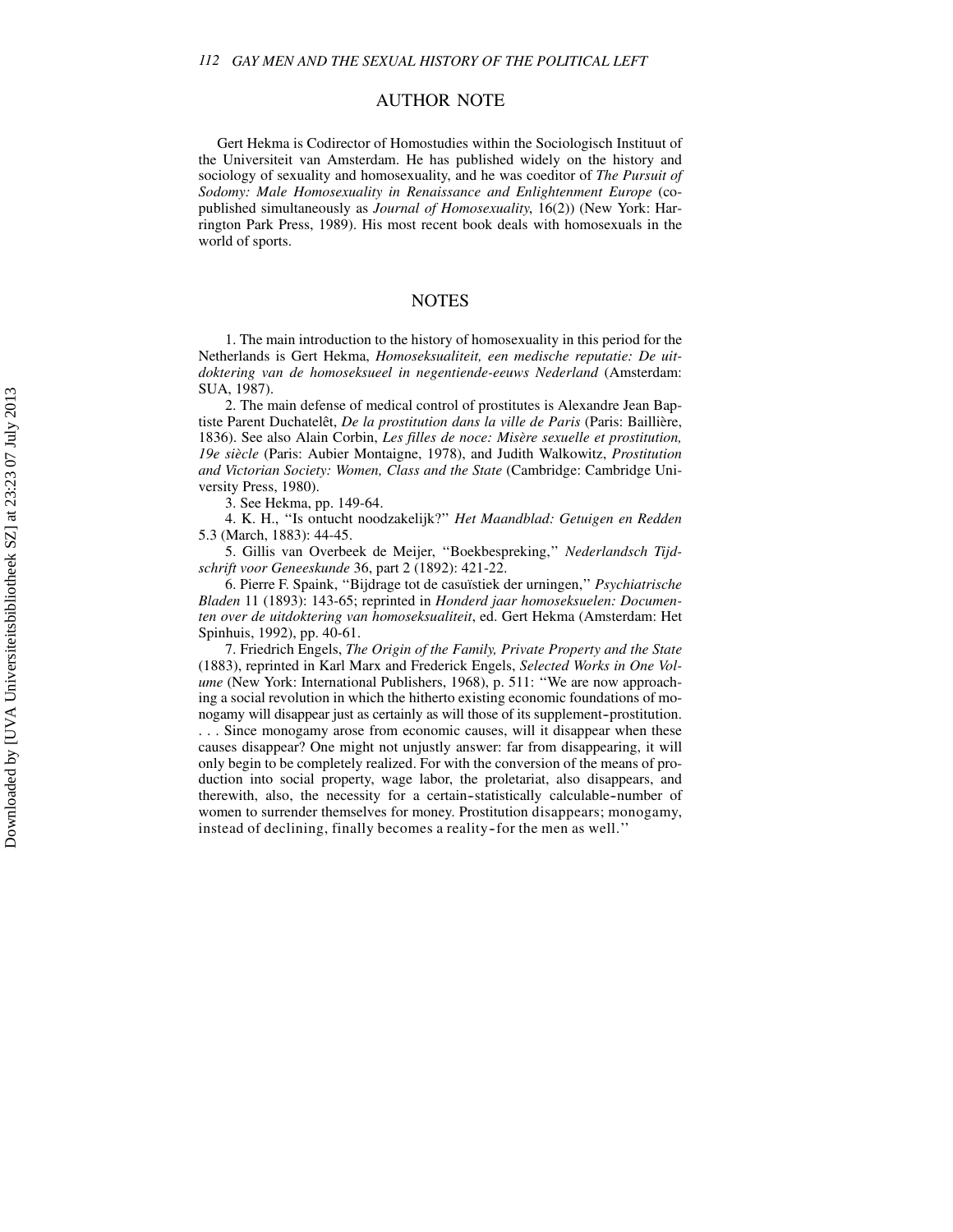#### AUTHOR NOTE

Gert Hekma is Codirector of Homostudies within the Sociologisch Instituut of the Universiteit van Amsterdam. He has published widely on the history and sociology of sexuality and homosexuality, and he was coeditor of *The Pursuit of Sodomy: Male Homosexuality in Renaissance and Enlightenment Europe* (copublished simultaneously as *Journal of Homosexuality*, 16(2)) (New York: Harrington Park Press, 1989). His most recent book deals with homosexuals in the world of sports.

#### **NOTES**

1. The main introduction to the history of homosexuality in this period for the Netherlands is Gert Hekma, *Homoseksualiteit, een medische reputatie: De uitdoktering van de homoseksueel in negentiende-eeuws Nederland* (Amsterdam: SUA, 1987).

2. The main defense of medical control of prostitutes is Alexandre Jean Baptiste Parent Duchatelêt, *De la prostitution dans la ville de Paris* (Paris: Baillière, 1836). See also Alain Corbin, *Les filles de noce: Misère sexuelle et prostitution, 19e siècle* (Paris: Aubier Montaigne, 1978), and Judith Walkowitz, *Prostitution and Victorian Society: Women, Class and the State* (Cambridge: Cambridge University Press, 1980).

3. See Hekma, pp. 149-64.

4. K. H., ''Is ontucht noodzakelijk?'' *Het Maandblad: Getuigen en Redden* 5.3 (March, 1883): 44-45.

5. Gillis van Overbeek de Meijer, ''Boekbespreking,'' *Nederlandsch Tijdschrift voor Geneeskunde* 36, part 2 (1892): 421-22.

6. Pierre F. Spaink, ''Bijdrage tot de casuïstiek der urningen,'' *Psychiatrische Bladen* 11 (1893): 143-65; reprinted in *Honderd jaar homoseksuelen: Documenten over de uitdoktering van homoseksualiteit*, ed. Gert Hekma (Amsterdam: Het Spinhuis, 1992), pp. 40-61.

7. Friedrich Engels, *The Origin of the Family, Private Property and the State* (1883), reprinted in Karl Marx and Frederick Engels, *Selected Works in One Volume* (New York: International Publishers, 1968), p. 511: ''We are now approaching a social revolution in which the hitherto existing economic foundations of monogamy will disappear just as certainly as will those of its supplement--prostitution. . . . Since monogamy arose from economic causes, will it disappear when these causes disappear? One might not unjustly answer: far from disappearing, it will only begin to be completely realized. For with the conversion of the means of production into social property, wage labor, the proletariat, also disappears, and therewith, also, the necessity for a certain-statistically calculable-number of

women to surrender themselves for money. Prostitution disappears; monogamy,

instead of declining, finally becomes a reality-for the men as well."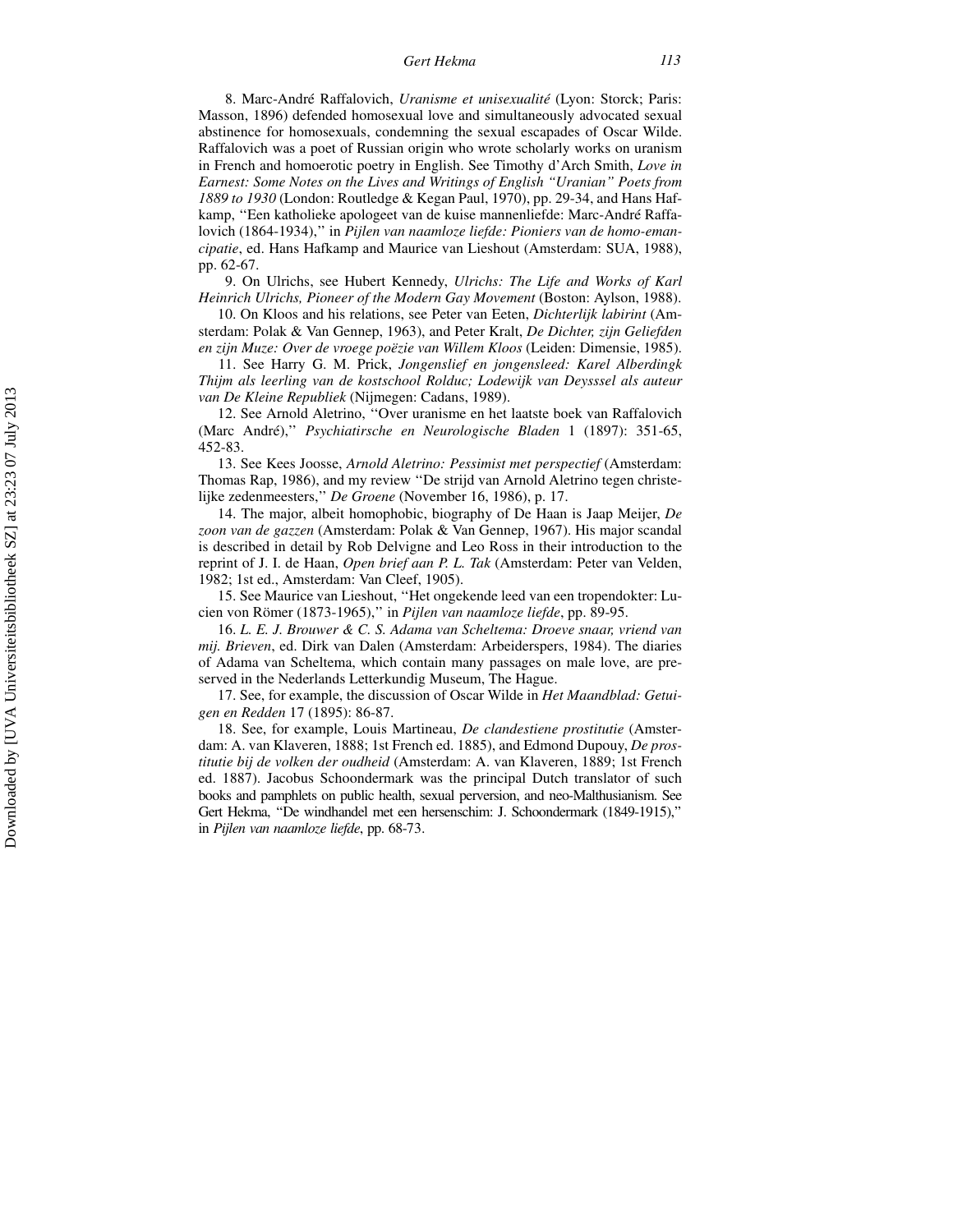8. Marc-André Raffalovich, *Uranisme et unisexualité* (Lyon: Storck; Paris: Masson, 1896) defended homosexual love and simultaneously advocated sexual abstinence for homosexuals, condemning the sexual escapades of Oscar Wilde. Raffalovich was a poet of Russian origin who wrote scholarly works on uranism in French and homoerotic poetry in English. See Timothy d'Arch Smith, *Love in Earnest: Some Notes on the Lives and Writings of English ''Uranian'' Poets from 1889 to 1930* (London: Routledge & Kegan Paul, 1970), pp. 29-34, and Hans Hafkamp, ''Een katholieke apologeet van de kuise mannenliefde: Marc-André Raffalovich (1864-1934),'' in *Pijlen van naamloze liefde: Pioniers van de homo-emancipatie*, ed. Hans Hafkamp and Maurice van Lieshout (Amsterdam: SUA, 1988), pp. 62-67.

9. On Ulrichs, see Hubert Kennedy, *Ulrichs: The Life and Works of Karl Heinrich Ulrichs, Pioneer of the Modern Gay Movement* (Boston: Aylson, 1988).

10. On Kloos and his relations, see Peter van Eeten, *Dichterlijk labirint* (Amsterdam: Polak & Van Gennep, 1963), and Peter Kralt, *De Dichter, zijn Geliefden en zijn Muze: Over de vroege poëzie van Willem Kloos* (Leiden: Dimensie, 1985).

11. See Harry G. M. Prick, *Jongenslief en jongensleed: Karel Alberdingk Thijm als leerling van de kostschool Rolduc; Lodewijk van Deysssel als auteur van De Kleine Republiek* (Nijmegen: Cadans, 1989).

12. See Arnold Aletrino, ''Over uranisme en het laatste boek van Raffalovich (Marc André),'' *Psychiatirsche en Neurologische Bladen* 1 (1897): 351-65, 452-83.

13. See Kees Joosse, *Arnold Aletrino: Pessimist met perspectief* (Amsterdam: Thomas Rap, 1986), and my review ''De strijd van Arnold Aletrino tegen christelijke zedenmeesters,'' *De Groene* (November 16, 1986), p. 17.

14. The major, albeit homophobic, biography of De Haan is Jaap Meijer, *De zoon van de gazzen* (Amsterdam: Polak & Van Gennep, 1967). His major scandal is described in detail by Rob Delvigne and Leo Ross in their introduction to the reprint of J. I. de Haan, *Open brief aan P. L. Tak* (Amsterdam: Peter van Velden, 1982; 1st ed., Amsterdam: Van Cleef, 1905).

15. See Maurice van Lieshout, ''Het ongekende leed van een tropendokter: Lucien von Römer (1873-1965),'' in *Pijlen van naamloze liefde*, pp. 89-95.

16. *L. E. J. Brouwer & C. S. Adama van Scheltema: Droeve snaar, vriend van mij. Brieven*, ed. Dirk van Dalen (Amsterdam: Arbeiderspers, 1984). The diaries of Adama van Scheltema, which contain many passages on male love, are preserved in the Nederlands Letterkundig Museum, The Hague.

17. See, for example, the discussion of Oscar Wilde in *Het Maandblad: Getuigen en Redden* 17 (1895): 86-87.

18. See, for example, Louis Martineau, *De clandestiene prostitutie* (Amsterdam: A. van Klaveren, 1888; 1st French ed. 1885), and Edmond Dupouy, *De prostitutie bij de volken der oudheid* (Amsterdam: A. van Klaveren, 1889; 1st French ed. 1887). Jacobus Schoondermark was the principal Dutch translator of such books and pamphlets on public health, sexual perversion, and neo-Malthusianism. See Gert Hekma, ''De windhandel met een hersenschim: J. Schoondermark (1849-1915),'' in *Pijlen van naamloze liefde*, pp. 68-73.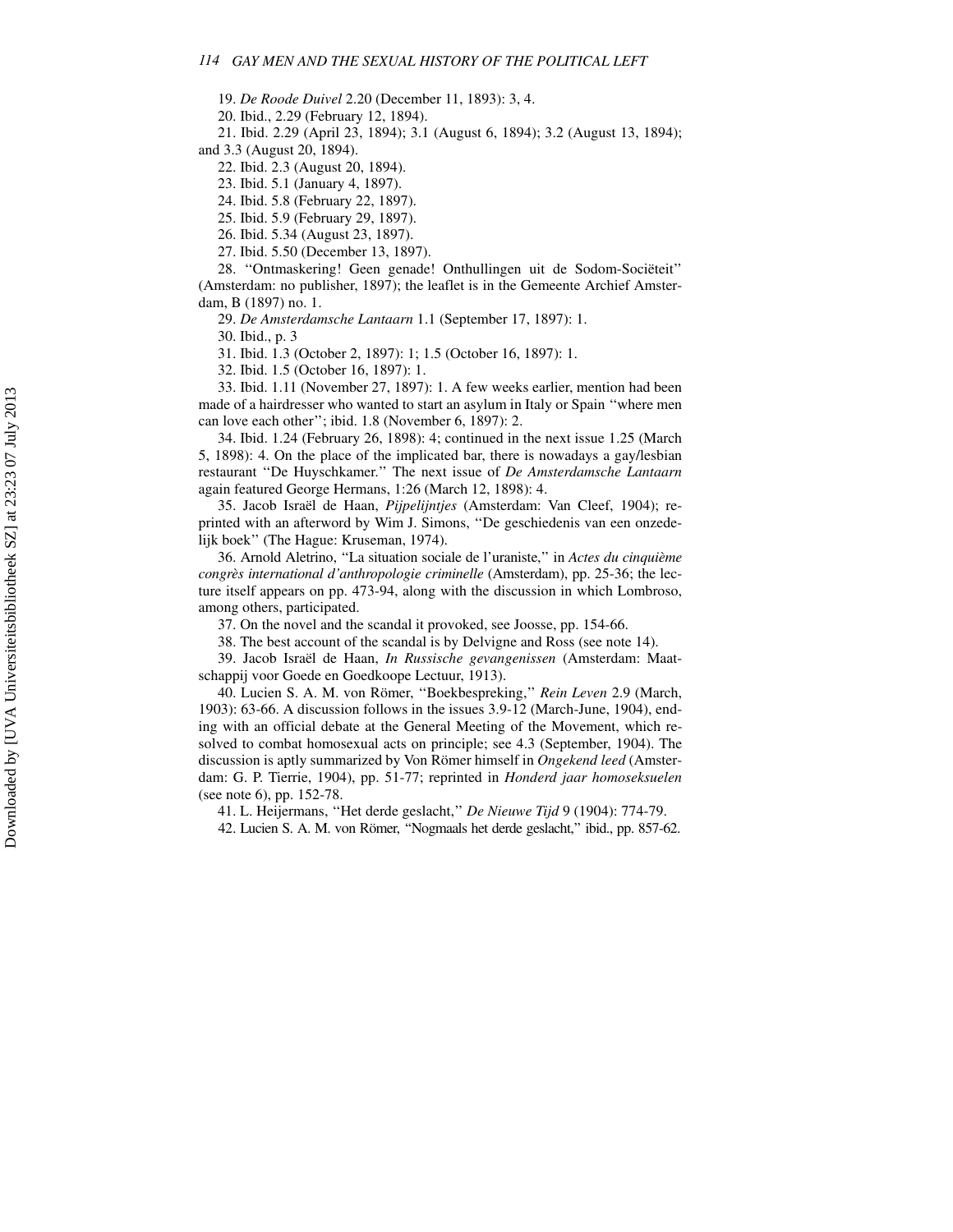19. *De Roode Duivel* 2.20 (December 11, 1893): 3, 4.

20. Ibid., 2.29 (February 12, 1894).

21. Ibid. 2.29 (April 23, 1894); 3.1 (August 6, 1894); 3.2 (August 13, 1894); and 3.3 (August 20, 1894).

22. Ibid. 2.3 (August 20, 1894).

23. Ibid. 5.1 (January 4, 1897).

24. Ibid. 5.8 (February 22, 1897).

25. Ibid. 5.9 (February 29, 1897).

26. Ibid. 5.34 (August 23, 1897).

27. Ibid. 5.50 (December 13, 1897).

28. ''Ontmaskering! Geen genade! Onthullingen uit de Sodom-Sociëteit'' (Amsterdam: no publisher, 1897); the leaflet is in the Gemeente Archief Amsterdam, B (1897) no. 1.

29. *De Amsterdamsche Lantaarn* 1.1 (September 17, 1897): 1.

30. Ibid., p. 3

31. Ibid. 1.3 (October 2, 1897): 1; 1.5 (October 16, 1897): 1.

32. Ibid. 1.5 (October 16, 1897): 1.

33. Ibid. 1.11 (November 27, 1897): 1. A few weeks earlier, mention had been made of a hairdresser who wanted to start an asylum in Italy or Spain ''where men can love each other''; ibid. 1.8 (November 6, 1897): 2.

34. Ibid. 1.24 (February 26, 1898): 4; continued in the next issue 1.25 (March 5, 1898): 4. On the place of the implicated bar, there is nowadays a gay/lesbian restaurant ''De Huyschkamer.'' The next issue of *De Amsterdamsche Lantaarn* again featured George Hermans, 1:26 (March 12, 1898): 4.

35. Jacob Israël de Haan, *Pijpelijntjes* (Amsterdam: Van Cleef, 1904); reprinted with an afterword by Wim J. Simons, ''De geschiedenis van een onzedelijk boek'' (The Hague: Kruseman, 1974).

36. Arnold Aletrino, ''La situation sociale de l'uraniste,'' in *Actes du cinquième congrès international d'anthropologie criminelle* (Amsterdam), pp. 25-36; the lecture itself appears on pp. 473-94, along with the discussion in which Lombroso, among others, participated.

37. On the novel and the scandal it provoked, see Joosse, pp. 154-66.

38. The best account of the scandal is by Delvigne and Ross (see note 14).

39. Jacob Israël de Haan, *In Russische gevangenissen* (Amsterdam: Maatschappij voor Goede en Goedkoope Lectuur, 1913).

40. Lucien S. A. M. von Römer, ''Boekbespreking,'' *Rein Leven* 2.9 (March, 1903): 63-66. A discussion follows in the issues 3.9-12 (March-June, 1904), ending with an official debate at the General Meeting of the Movement, which resolved to combat homosexual acts on principle; see 4.3 (September, 1904). The discussion is aptly summarized by Von Römer himself in *Ongekend leed* (Amsterdam: G. P. Tierrie, 1904), pp. 51-77; reprinted in *Honderd jaar homoseksuelen* (see note 6), pp. 152-78.

41. L. Heijermans, ''Het derde geslacht,'' *De Nieuwe Tijd* 9 (1904): 774-79.

42. Lucien S. A. M. von Römer, ''Nogmaals het derde geslacht,'' ibid., pp. 857-62.